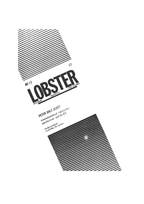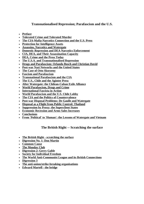#### **Transnationalised Repression; Parafascism and the U.S.**

- • **Preface**
- **Tolerated Crime and Tolerated Murder**
- **The CIA-Mafia-Narcotics Connection and the U.S. Press**
- **Protection for Intelligence Assets**
- **Assassins, Narcotics and Watergate**
- **Domestic Repression and DEA Narcotics Enforcement**
- **CIA, DEA, and Their Assassination Capacity**
- **DEA, Crime and the Press Today**
- **The U.S.A. and Transnationalised Repression**
- **Drugs and Parafascism: Orlando Bosch and Christian David**
- **Post-war Nazi Networks and the United States**
- **The Case of Otto Skorzeny**
- **Fascism and Parafascism**
- **Transnational Parafascism and the CIA**
- **The U.S., Chile and the Aginter Press**
- **After Watergate: the Chilean-Cuban Exile Alliance**
- **World Parafascism, Drugs and Crime**
- **International Fascista in Action**
- **World Parafascism and the U.S. Chile Lobby**
- **The CIA and the Politics of Countervalence**
- **Post-war Disposal Problems: De Gaulle and Watergate**
- • **Disposal as a Flight from Public Control: Thailand**
- • **Suppression by Proxy: the Superclient States**
- **Economic Recession and Arms Sales Increases**
- • **Conclusions**
- **From 'Political' to 'Human': the Lessons of Watergate and Vietnam**

#### **The British Right -- Scratching the surface**

- • **The British Right scratching the surface**
- **Digression No. 1: Don Martin**
- • **Common Cause**
- • **The Monday Club**
- **Digression 2: Gerry Gable**
- **Society for Individual Freedom**
- • **The World Anti-Communist League and its British Connections**
- • **Digression 3**
- **The anti-union/strike-breaking organisations**
- **Edward Martell the bridge**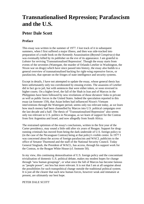# **Transnationalised Repression; Parafascism and the U.S.**

#### **Peter Dale Scott**

#### **Preface**

This essay was written in the summer of 1977. I lost track of it in subsequent summers, when I first suffered a major illness, and then was side-tracked into preparation of a trade book on the Kennedy Assassination (*Beyond Conspiracy*) that was eventually killed by its publisher on the eve of its appearance. I am grateful to *Lobster* for reviving 'Transnationalised Repression'. Though the essay starts from events of the seventies (Watergate, the murder of Orlando Letelier in Washington, the Nixon war on drugs) which have since passed into history, the essay also builds to a general overview of transnationalised backing for right-wing repressive forces, or parafascists, that operate on the fringes of state intelligence and security systems.

Except in details, I have not attempted to update the essay, whose general thesis has been unfortunately only too corroborated by ensuing events. The assassins of Letelier did in fact go to jail, but with sentences that were either token, or soon reversed in higher courts. On a higher level, the fall of the Shah in Iran and of Marcos in the Philippines have been followed by new revelations of those dictators' links to private as well as public forces in the United States. Indeed the speculation reported in this essay (at footnote 159), that Asian bribes had influenced Nixon's Vietnam interventions through the Watergate period, seems only too relevant today, as we learn how much money had been channelled by Marcos into U.S. political campaigns over the last decade and a half. The thesis of "Transnationalised Repression" also seems only too relevant to U.S. politics in Nicaragua, as we learn of support for the Contras from first Argentina and Israel, and now allegedly from South Africa.

The restrained optimism of the essay's conclusions, written in the first year of the Carter presidency, may sound a little odd after six years of Reagan. Support for drugrunning criminals has moved from being the dark underside of U.S. foreign policy to (in the case of the Nicaraguan Contras) being at that policy's visible centre. In 1977 I was concerned about the access of foreign parafascists and WACL publicists to the office of Senator Thurmond and the staff of the National Security Council. Today General Singlaub, the President of WACL, has access, through his support work for the Contras, to the Reagan White House (cf. footnote 50).

In my view, this continuing demoralisation of U.S. foreign policy and the concomitant trivialisation of domestic U.S. political debate, makes my modest hopes for change through "new human groupings", or what since the fall of Marcos has become famous as "people power", not less but more relevant. It is not that I am at all sanguine about the possibilities for such transpolitical change outside the traditional political system. It is just all the clearer that such new human forces, however weak and immature at present, are ultimately our best hope.

#### PETER DALE SCOTT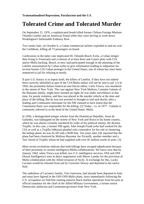# **Tolerated Crime and Tolerated Murder**

On September 21, 1976, a sophisticated bomb killed former Chilean Foreign Minister Orlando Letelier and an American friend while they were driving to work down Washington's fashionable Embassy Row.

Two weeks later, on October 6, a Cuban commercial airliner exploded in mid-air over the Caribbean, killing all 73 passengers on board.

Confessions in the latter case implicated Dr. Orlando Bosch Avila, a Cuban emigre then living in Venezuela and a veteran of at least three anti-Castro plots with CIA and/or Mafia backing. Bosch, in turn, had participated enough in the planning of the Letelier assassination by Cuban exiles to give information leading to subpoenas for several former CIA Cuban proteges in the United States, one of whom has since been sentenced to jail for refusing to testify.

If past U.S. history is to repeat itself, the killers of Letelier, if they have not indeed been correctly identified as part of the CIA/Mafia milieu will not be sent to jail. (1) In 1943, the prominent Italian-American anti-fascist editor, Carlo Tresca, was murdered in the streets of New York. The case against New York Mafioso, Carmine Galante of the Bonanno family, might have seemed air-tight; he was under surveillance at that time, for parole violation, and thus was placed in the murder vehicle at the time and place of the killing. But he was not arrested or brought to trial and shortly after a leading anti-Communist informant for the FBI claimed to have learnt that the Communist Party was responsible for the killing. (2) Today - i.e. in 1977 - Galante is commonly referred to as the head of the United States' Mafia.

In 1956, a distinguished emigre scholar from the Dominican Republic, Jesus de Galindez, was kidnapped on the streets of New York and flown to his home country, where he was almost certainly murdered by order of his political enemy, the dictator Trujillo. In this case, a former FBI agent, John Joseph Frank (who had worked for the CIA as well as a Trujillo lobbyist) pleaded *nolo contendere* for his role in chartering the kidnap plane; he was let off with a \$500 fine. Ten years later *Life* reported that the plane had been chartered by Mafioso Bayonne Joe Zicarelli, another member and a 'fast' friend of Trujillo whom he had supplied with over \$1 million worth of arms. (3)

More recent revelations indicate that both killings have escaped adjudication because of their proximity to current intelligence-Mafia collaborations. We know now that by January 1943, when Tresca was killed, two U.S. intelligence services, OSS and ONI (Naval Intelligence) were in direct negotiation with Meyer Lansky for the provision of Mafia collaboration with the Allied invasion of Sicily. In exchange for this, Lucky Luciano would be released from jail by Governor Dewey and deported to his native Italy.

The underboss of Luciano's family, Vito Genovese, had already been deported to Italy and must have figured in the OSS-ONI-Mafia plans, since immediately following the U.S. occupation we find him running massive black market operations from his post as official translator for the chief of the Allied Military Government, a former senior Democratic politician and Lieutenant-governor from New York.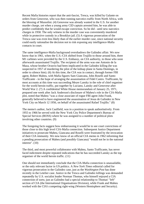Recent Mafia histories report that the anti-fascist, Tresca, was killed by Galante on orders from Genovese, who was then running narcotics traffic from North Africa, with the blessing of Mussolini. (4) Genovese was already wanted in the U.S. for another murder charge, yet when a young army CID captain arrested him, he was able to predict confidently that he would escape conviction. So he did - until new narcotics charges in 1958. The only witness in the murder case was conveniently murdered while in protective custody in a Brooklyn jail. (5) A vigorous prosecution of the Tresca case was even less likely than of the earlier murder case, since national security could easily rationalise the decision not to risk exposing any intelligence-Mafia contacts in court.

The same intelligence-Mafia background overshadows the Galindez affair. We now know that in 1961, when the U.S.-CIA shifted from Trujillo to those around him, three M1 carbines were provided by the U.S. Embassy, on CIA authority, to those who soon afterwards assassinated Trujillo. The recipient of the arms was one Antonio de la Maza, whose brother Octavio had been implicated in the Galindez killing (he was suspected in 1957 of murdering the pilot of the kidnap plane in Santa Domingo, in order to silence him). (6) At this time, the CIA was in contact, through former FBI agent, Robert Maheu, with Mafia figures Sam Giancana, John Roselli and Santo Trafficante - in the hope of arranging the assassination of Fidel Castro. Trafficante, by most accounts at this time was succeeding Meyer Lansky in the role of chief organiser for the world heroin traffic, put together by Luciano, Lansky and Genovese after World War 2. (7) A confidential White House memorandum of January 25, 1971, prepared one week after Jack Anderson's disclosure of Maheu's role in the CIA-Mafia plot, noted that Maheu "was a close associate of rogue FBI agent John Frank, generally believed to have engineered the assassination of Jesus de Galindez in New York City on March 12 1956, on behalf of the assassinated Rafael Trujillo." (8)

The memo's author, Jack Caulfield, was in a position to speak authoritatively. From 1955 to 1966 he served with the New York City Police Department's Bureau of Special Services (BOSS) where he was assigned to a number of political plots involving other countries. (9)

The foregoing facts suggest how embarrassing it would be to see court convictions of those close to this high level CIA-Mafia connection. Subsequent Justice Department initiatives to prosecute Maheu, Giancana and Roselli were frustrated by the invocation of their CIA immunity. We now know of an official CIA memo in 1962 informing that a pending prosecution of Maheu (and possibly Giancana) "would not be in the national interest". (10)

The third, and most powerful collaborator with Maheu, Santo Trafficante, has never faced indictment despite repeated indications that he has succeeded Lansky as the top organiser of the world heroin traffic. (11)

One should not immediately conclude that the CIA-Mafia connection is unassailable, or the only relevant factor in US politics. A *New York Times* editorial called for vigorous prosecution in the Galindez case, just as the *Washington Post* has done recently in the Letelier case. Justice in the Tresca and Galindez killings was demanded repeatedly by U.S. socialist leader Norman Thomas, who himself enjoyed a CIA connection of sorts; just as Galindez had a special relationship to Thomas' "left" section of CIA (the International Organisations Division), while Frank and Maheu worked with the CIA's competing right-wing (Western Hemisphere and Security).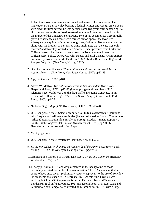- 1. In fact three assassins were apprehended and served token sentences. The ringleader, Michael Townley became a federal witness and was given ten years with credit for time served; he was paroled some two years after sentencing. A. U.S. Federal court also refused to extradite him to Argentina to stand trial for the murder of the Chilean General Prats. Two of his accomplices were initially given life sentences but these were thrown out on appeal; the two were subsequently acquitted of murder, though one, Guillermo Novo, was convicted, along with his brother, of perjury. A cynic might note that the case was only "solved" and Townley located, after Pinochet, under pressure from Carter and Chilean bankers, had begun to crack down on Townley's employers, the Chilean secret police, DINA. Cf. John Dinges and Saul Landau, *Assassination on Embassy Row* (New York, Pantheon, 1980); Taylor Branch and Eugene M. Propper *Labyrinth* (New York, Viking, 1982)
- 2. Guenther Reinhardt, *Crime Without Punishment: the Secret Soviet Terror Against America* (New York, Hermitage House, 1952): pp80-83.
- 3. *Life*, September 8 1967, p101.
- 4. Alfred W. McKoy. *The Politics of Heroin in Southeast Asia* (New York, Harper and Row, 1972): pp22-23 (I attempt a general overview of U.S. relations since World War 2 to the drug traffic, including Genovese, in my 'Foreword' to Henrik Kruger, *The Great Heroin Coup* (Boston: South End Press, 1980): pp1-26
- 5. Nicholas Gage, *Mafia,USA* (New York, Dell, 1972): p157-8
- 6. U.S. Congress, Senate, Select Committee to Study Governmental Operations with Respect to Intelligence Activities (henceforth cited as Church Committee) "Alleged Assassination Plots Involving Foreign Leaders - Senate Report No 94-465, 94th Congress. 1st. Session (November 20, 1975), pp200-06. Henceforth cited as Assassination Report
- 7. McCoy. pp 54-55
- 8. U.S. Congress. Senate, Watergate Hearings, Vol. 21 p9750
- 9. J. Anthony Lukas, *Nightmare: the Underside of the Nixon Years* (New York, Viking, 1976): p14: Watergate Hearings, Vol.1 pp249-50
- 10.Assassination Report, p131; Peter Dale Scott, *Crime and Cover-Up* (Berkeley, Westworks, 1977): p22
- 11.McCoy p 55 (Both CIA and drugs emerged in the background of those eventually arrested for the Letelier assassination. The CIA even admitted in court to have once given "preliminary security approval" to the use of Townley "in an operational capacity" in February 1971. At this time Townley was working in Chile with the parafascist group Patria y Libertad (Dinges and Landau p373; cf. infra at footnote 102) His accomplices Alvin Ross Diaz and Guillermo Novo Sampol were arrested by Miami police in 1978 with a large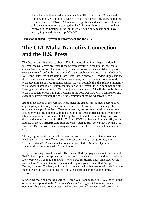plastic bag of white powder which they identified as cocaine. (Branch and Propper, p529). Miami police wished to hold the pair on drug charges, but the FBI intervened. In 1976 CIA Director George Bush and nameless intelligence officials were reported as saying that the Chilean military junta had not been involved in the Letelier killing, but that "left-wing extremists" might have been. (Dinges and Landau. pp 242-252)

**Transnationalised Repression; Parafascism and the U.S.**

# **The CIA-Mafia-Narcotics Connection and the U.S. Press**

The fact remains that prior to about 1970, the invocation of an alleged "national interest" seems to have protected those actively involved in the intelligence-Mafia connection from serious harassment by either the courts or the establishment press. (For the sake of verifiability we shall define the 'establishment media' as including the *New York Times*, the *Washington Post*, Time-Life, Newsweek, Readers Digest and the three major television networks). Since Watergate, and the dramatic collapse of the press-government anti-Communist consensus, it in possible that this relative immunity is no longer unassailable. First in conjunction with Vietnam, then in conjunction with Watergate and since around 1974 in conjunction with the CIA itself, the establishment press has begun to reveal marginal details of the post-war CIA-Mafia connection and even of its involvement in the post-war restoration of the world heroin traffic.

But the revelations of the past few years make the establishment media before 1970 appear guilty not merely of silence but of active collusion in disseminating false official cover-ups of the facts. Take, for example, the post-war development of new opium growing areas in non-Communist South-east Asia to replace fields which the Chinese revolution now denied to Chiang Kai-shek and the Kuomintang. For two decades the most flagrant of official Thai and KMT involvement in this traffic, to say nothing of the US infrastructure support, was systematically downplayed by the U.S. Narcotics Bureau, with the necessary collaboration of the U.S. establishment media. (12)

The key figures in this official U.S. cover-up were U.S. Narcotics Commissioner, Anslinger - a Treasury official - and his West coast chief, George White, a former OSS official and CIA consultant who had represented OSS in the Operation Underworld negotiations with Meyer Lansky.

For years Anslinger would uncritically transmit KMT propaganda about a world-wide Red Chinese opium conspiracy and document it persuasively with evidence of what he knew very well was in fact the KMT's own narcotics traffic. Thus, Anslinger would use the term 'Yunnan Opium' to describe the opium grown under KMT auspices in Burma, Laos and Thailand; and would document the involvement of officials from the Bank of Canton, without noting that this was controlled by the Soong family of Taiwan. (13)

Supporting these misleading charges, George White announced, in 1959, the breaking of what was reported in the *New York Times* as "the biggest Chinese narcotics operation 'that we've come across'". White also spoke of 270 pounds of heroin "most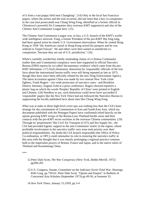of it from a vast poppy field near Chungking". (14) Only in the local San Francisco papers, where the arrests and the trial occurred, did one learn that a key co-conspirator in the case (not prosecuted) was Chung Wing Fong, identified as a former official in Chinatown's powerful Six Companies (key overseas KMT supporters) and also of the Chinese Anti-Communist League here. (15)

The Chinese Anti-Communist League was, in fact, a U.S. branch of the KMT's worldwide intelligence network. Fong, a former President of the pro-KMT Hip Sing tong, had been spared arrest by timely U.S. Government intervention. When he visited Hong Kong in 1958 "the American consul in Hong Kong seized his passport and he was ordered to Taipei/Taiwan". He and others were then named as unindicted coconspirators "because they are out of U.S. jurisdiction." (16)

White's carefully worded but wholly misleading claims of a Chinese Communist (rather than anti-Communist) conspiracy were later supported in official Narcotics Bureau (FBN) reports by so-called 'documentary evidence' which came from the pro-KMT defendants. (17) Such elementary distortions by 'responsible' officials of the true facts about the international heroin traffic were still being repeated as late as 1973, though they have since been officially refuted by the new Drug Enforcement Agency. The latest accusation against China was made by two veteran New York crime fighters, Frank Rogers - city-wide prosecutor of narcotics cases - and Brooklyn District Attorney, Eugene Gold at a press conference. Rogers showed reporters a plastic bag on which the words 'Peoples' Republic of China' were printed in English and Chinese. (18) Needless to say, such distortions could never have succeeded if 'responsible' papers like the *New York Times* had not followed the Narcotics Bureau in suppressing the locally published facts about men like Chung Wing Fong.

What was at stake in these high-level cover-ups was nothing less than the CIA's basic strategy for the containment of Communism in East and South-East Asia, which (as documents published with the Pentagon Papers have confirmed) relied heavily on the opium growing KMT troops of the Burma-Laos-Thailand border areas and their contacts with the pro-KMT secret societies in the overseas Chinese communities. (19) Through its 'proprietaries' like Civil Air Transport (CAT) and Sea Supply Inc., the CIA had provided logistic support to the anti-Communist 'assets' in the region, whose profitable involvement in the narcotics traffic very soon took priority over their political responsibilities. No doubt the CIA branch responsible (the Office of Policy Co-ordination, or OPC) could rationalise its role in restoring the narcotics traffic in this area with the thought that it was merely prolonging a regional practice common both to the imperialist powers of Britain, France and Japan, and to the native rulers of Thailand and Kuomintang China.

\*\*\*

- 12.Peter Dale Scott, *The War Conspiracy* (New York, Bobbs Merrill, 1972) pp200-201
- 13.U.S. Congress, Senate, Committee on the Judiciary *Soviet Total War*, Hearings 85th Cong. pp 759-61: Peter Dale Scott, "Opium and Empire" in Bulletin of Concerned Asia Scholars (September 1973) pp 49-56, at footnote 33.
- 14.*New York Times*, January 15,1959, pp 3-4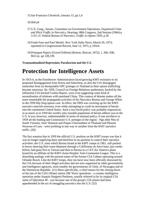15.San Francisco Chronicle, January 15, pp 1,4

16.ibid p4

- 17.U.S. Cong., Senate, Committee on Government Operations, *Organised Crime and Illicit Traffic in Narcotics*, Hearings, 88th Congress, 2nd Session (1964) p 1131; cf. Federal Bureau of Narcotics, *Traffic in Opium* 1959, p 26
- 18.Frank Faso and Paul Meskil, New York Daily News, March 20, 1973; reprinted in Congressional Record, June 12, 1973, p 19324.
- 19.*Pentagon Papers* (Gravel Edition) (Boston, Beacon, 1972), 1, 366, 438; McCoy. pp 128,139.

**Transnationalised Repression; Parafascism and the U.S.**

# **Protection for Intelligence Assets**

In 1953-4, as the Eisenhower Administration faced growing KMT resistance to its proposed disengagement from Korea and Indochina, so also the CIA disengaged somewhat from its disreputable OPC proteges in Thailand as their opium trafficking became notorious. By 1959, Council on Foreign Relations spokesmen, backed by the influential CIA-backed Conlon Report, were even suggesting some kind of normalisation of relations with mainland China. This context of detente makes all the more remarkable the propaganda activities of the Narcotics Bureau and George White in the 1959 Hip Sing opium case. In effect, the FBN was covering up for the KMTnarcotics network overseas, even while attempting to crush its movement of heroin into the continental United States. Such a two-faced policy was probably impractical, in as much as in 1959 the world's only sizeable population of heroin addicts was in the U.S. It was, however, understandable in terms of national policy, if one recollects in 1959 all the leading anti-Communist U.S. proteges of the region - Ngo dihn Nhu of South Vietnam, Sarit Thanarat and Prapas Charusathien of Thailand and Phoumi Nosavan of Laos - were profiting in one way or another from the KMT narcotics traffic. (20)

The fact remains that in 1959 the official U.S. position on the KMT troops was that it was no longer supplying them and therefore in no position to control their narcotics activities: the U.S. arms which Burma found at the KMT camps in 1961, still packed in boxes showing their trans-shipment through a Californian air force base, just weeks before, had gone first to Taiwan and then to Burma in a CAT-Air America plane leased by an affiliate of the KMT-Asian Peoples' Anti-Communist League. This is a disturbing analogy with the present status of the former CIA Cubans operating around Orlando Bosch. Like the KMT troops, they too have now been officially disowned by the CIA because of their illegal activities and are now supported by other governments and intelligence agencies, most notably the governments of Chile, of Nicaragua and of the Dominican Republic. (21) More specifically, a chief reason for the closing down of the last of the CIA's Miami station JM/ Wave operations - a counter intelligence operation under Joaquin Sangenis Perdomo, usually referred to by its original CIA name of Operation 40 - was because one of the group's CIA planes had been apprehended in the act of smuggling narcotics into the U.S. (22)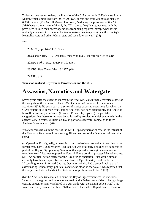Today, no one seems to deny the illegality of the CIA's domestic JM/Wave station in Miami, which employed from 300 to 700 U.S. agents and from 2,000 to as many as 6,000 Cubans. (23) An Bill Moyers has noted, "seducing the press was critical" to JM/Wave's maintenance in Miami; the CIA secured "explicit agreements with the press here to keep their secret operations from being reported, except when it was mutually convenient ... It amounted to a massive conspiracy to violate the country's Neutrality Acts and other federal, state and local laws as well". (24)

\*\*\*

20.McCoy, pp 142-143,153, 259.

21.George Crile. CBS Broadcast, transcript, p 30. Henceforth cited as CBS.

22.*New York Times*, January 5, 1975, p4.

23.CBS; *New Times*, May 13 1977, p46

24.CBS, p14

**Transnationalised Repression; Parafascism and the U.S.**

### **Assassins, Narcotics and Watergate**

Seven years after the event, to its credit, the *New York Times* finally revealed a little of the story about the wind-up of the CIA's Operation 40 because of its narcotics activities.(25) It did so an part of a series of stories exposing operations for which the CIA's counter-intelligence chief, James Angleton, had been responsible, and Angleton himself has recently confirmed (to author Edward Jay Epstein) the published suggestions that these stories were being leaked by Angleton's chief enemy within the agency, CIA Director, William Colby, an part of a successful campaign to force Angleton's resignation. (26)

What concerns us, as in the case of the KMT-Hip Sing narcotics case, is the refusal of the *New York Times* to tell the most significant features of the Operation 40 narcotics story:

(a) Operation 40, originally, at least, included professional assassins. According to the former *New York Times* reporter, Tad Szulc, it was originally designed by Sangenis as part of the Bay of Pigs planning "to assure that a post-Castro regime contained no trouble makers", i.e. men opposed to Howard Hunt's political protege, Manuel Artime. (27) (As political action officer for the Bay of Pigs operation, Hunt would almost certainly have been responsible for this phase of Operation 40). Szulc adds that "According to well informed Cubans, Operation 40 also had a second task; that of assassinating, if necessary, political leaders who stood in the way. It was reported that the project included a hand-picked task force of professional killers". (28)

(b) The *New York Times* failed to name the Bay of Pigs veteran who, in its words, "was part of the group and who was accused by the Federal authorities of being a large cocaine smuggler [and] was killed in a gun battle with the Miami police". (29) This was Juan Restoy, arrested in June 1970 as part of the Justice Department's 'Operation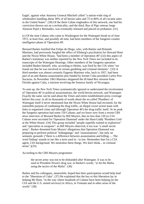Eagle', against what Attorney General Mitchell called "a nation-wide ring of wholesalers handling about 30% of all heroin sales and 75 to 80% of all cocaine sales in the United States". (30) Of the three Cuban ringleaders of this network, one had his conviction thrown out on a technicality, and the third, Bay of Pigs veteran Jorge Alonson Pujol y Bermudez, was eventually released and placed on probation. (31)

(c) Of the nine Cubans who came to Washington for the Watergate break-in of June 1972, at least four, and possibly all nine, had been members of the Sangenis counter intelligence phase of 'Operation 40'.

Bernard Barker testified that Felipe de Diego, who, with Barker and Rolando Martinez, had previously burgled the office of Ellsberg's psychiatrist for Howard Hunt and the Nixon White House, "had been a member of Operation 40";(32) this aspect of Barker's testimony was neither reported by the *New York Times* nor included in its transcripts of the Watergate Hearings. Other members of the Sangenis operation included Barker himself, who, according to Helms, was fired by the CIA when "we found out that he was involved in certain gambling and criminal elements". (33) A third member was almost certainly Eugenio Martinez who, back in 1957, had been part of an anti-Batista assassination plot funded by former Cuba president Carlos Prio Socarras. In November 1963 Martinez skippered the ill-fated Rex mission from Florida against Cuba, a mission involving the Somoza family of Nicaragua.

To sum up, the *New York Times* systematically ignored or understated the involvement of 'Operation 40' in political assassinations, the world heroin network, and Watergate. Exactly the same can be said about the *Times* and entire establishment press coverage before this year: in all its thousands of words about the so-called 'Plumbers' of Watergate itself it never mentioned that the Nixon White House had recruited, for the ostensible purpose of combating the drug traffic, an illegal covert action team with links to organised crime and (through 'Operation 40') the drug traffic itself. At its peak the Sangenis operation had some 150 Cubans; and we know now from a recent CBS news interview of Bernard Barker by Bill Moyers, that no less than 120 ex-CIA Cubans were recruited for 'Operation Diamond' under the Hunt-Liddy 'Plumbers Unit' at the White House. (34) This group included "people superbly trained in explosives" and "specialists in weapons": as Bill Moyers observed, it too was "a small secret army". Barker dissented from Moyers' allegations that Operation Diamond was preparing to perform political "kidnappings" and "assassinations", but only on semantic grounds: ("there is a difference between assassination and killing .... The word 'kidnap' sounds to me like a term used in - in law. Remember that I'm a CIA agent, CIA background. We neutralise these things. We don't think... in criminal terms". $)(35)$ 

According to the CBS-Moyers programme:

the secret army was not to be disbanded after Watergate. It was to be used in President Nixon's drug war, in Barker's words, "to hit the Mafia using the tactics of the Mafia". (36)

Barker and his colleagues, meanwhile, hoped that their participation would help lead to the "liberation of Cuba". (37) He explained that the key to this liberation lay in helping Mr Hunt, "in the way where hundreds of Cubans have been helping [ie the CIA and the U.S. armed services] in Africa, in Vietnam and in other areas of the world." (38)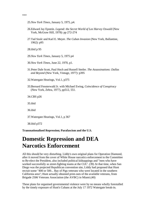- \*\*\*
- 25.*New York Times*, January 5, 1975, p4.
- 26.Edward Jay Epstein. *Legend: the Secret World of Lee Harvey Oswald* (New York, McGraw Hill, 1978): pp 272-274
- 27.Tad Szulc and Karl E. Meyer. *The Cuban Invasion* (New York, Ballantine, 1962): p95

28.ibid p 95

29.*New York Times*, January 5, 1975 p4

30.*New York Times*, June 22, 1970, p1.

31.Peter Dale Scott, Paul Hoch and Russell Stetler. *The Assassinations: Dallas and Beyond* (New York, Vintage, 1977): p395

32.Watergate Hearings, Vol.1, p375

33.Bernard Fensterwald Jr. with Michael Ewing, *Coincidence of Conspiracy* (New York, Zebra, 1977), pp512, 551.

34.CBS p26

35.ibid

36.ibid

37.Watergate Hearings, Vol.1, p 367

38.ibid p372

**Transnationalised Repression; Parafascism and the U.S.**

### **Domestic Repression and DEA Narcotics Enforcement**

All this should be very disturbing. Liddy's own original plans for Operation Diamond, after it moved from the cover of White House narcotics enforcement to the Committee to Re-elect the President, also included political kidnappings and "men who have worked successfully as street-fighting teams at the CIA". (39) At that time, when San Diego was the projected Republican convention site, Liddy had proposed that Hunt recruit some "400 or 500... Bay of Pigs veterans who were located in the southern California area"; Hunt actually obtained print-outs of the available veterans, from Brigade 2506 Veterans Association (the AVBC) in Miami.(40)

These plans for organised governmental violence were by no means wholly forestalled by the timely exposure of Hunt's Cubans at the July 17 1972 Watergate break-in.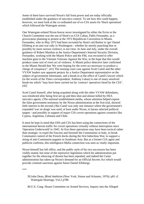Some of them have survived Nixon's fall from power and are today officially established under the guidance of narcotics control. To see how this could happen, however, we must look at the co-ordinated use of ex-CIA assets for 'black operations' which followed the Watergate arrests.

One Watergate-related Nixon horror never investigated by either the Ervin or the Church Committee was the use of Hunt's ex-CIA Cuban, Pablo Fernandez, as a provocateur planning to protest at the 1972 Republican Convention in Miami. Fernandez, who in May 1972 had been recruited by Hunt's aid Barker to 'get' Daniel Ellsberg at an anti-war rally in Washington - whether by merely punching him or possibly by more serious violence, is not clear. In June and July, under the overall guidance of Robert Mardian at the Justice Department's Internal Security Division, Fernandez, working with the Miami Police and the FBI, was recruited to offer machine guns to the Vietnam Veterans Against the War, in the hope that this would produce some sort of overt act of violence. A Miami police detective later confirmed to the Miami Herald that 'We were hoping for the overt act necessary to produce a charge of conspiracy". (41) The ensuing court case against Scott Camil and the other VVAW leaders saw apparent perjury by a Justice Department representative on the subject of government informants, and a break-in at the office of Camil's lawyer which (in the words of the *Times* correspondent, Anthony Lukas) is one of many unsolved break-ins which "may have been carried out by 'contract' operatives hired by the CIA". (42)

Scott Camil himself, after being acquitted along with the other VVAW defendants, was reindicted after being first set up and then shot and almost killed by DEA narcotics agents. (The national establishment media, whose attention helped expose the false government testimony by the Nixon administration at the first trial, showed little interest in the second.) But Camil was only one instance where the government's expanded 'war on drugs' was used, at least under Nixon, to harass selected political targets - and possibly in support of major CIA covert operations against countries like Cyprus, Argentina, Lebanon and Chile.

It must be kept in mind that OSS and CIA has been using the connections of the international heroin traffic for covert operations virtually without interruption since 'Operation Underworld' in 1943. At first these operations may have been tactical rather than strategic: to expel the Fascists and forestall the Communists in Italy, to break Communist control of the French docks during the first Indochina War, to support a string of anti-Communist puppets in Southeast Asia. But as a former CIA agent and publicist confirms, this intelligence-Mafia connection was seen as vitally important.

Nixon himself has left office, and the public style of his two successors has been visibly muted, but none of the repressive legislation which his administration put together for the silencing of dissent has been repealed; and indeed the Carter administration has taken up Nixon's demand for an Official Secrets Act which would provide criminal sanctions against future Daniel Ellsbergs.

\*\*\*

- 39.John Dean, *Blind Ambition* (New York, Simon and Schuster, 1976): p81 cf. Watergate Hearings, Vol.2 p788
- 40.U.S. Cong. House Committee on Armed Services, Inquiry into the Alleged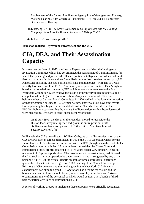Involvement of the Central Intelligence Agency in the Watergate and Ellsberg Matters, Hearings, 94th Congress, 1st session (1974) pp 513-14. Henceforth cited as Nedzi Hearings.

41.Lukas, pp167-88,196; Steve Weissman (ed.) *Big Brother and the Holding Company* (Palo Alto, California; Ramparts, 1974): pp76-77

42.Lukas, p37; Weissman pp 78-81

**Transnationalised Repression; Parafascism and the U.S.**

# **CIA, DEA, and Their Assassination Capacity**

It is true that on June 11, 1973, the Justice Department abolished the Intelligence Evaluation Committee which had co-ordinated the harassment of Camil in Miami, for which the special grand juries had collected political intelligence, and which had, in its first two months of existence alone "compiled computerised dossiers on nearly 14,000 Americans, including selected political officials and moderates". (43) The IEC was secretly terminated on June 11, 1973, or shortly after press accounts of Dean's highlybowdlerised revelations concerning IEC which he was about to make to the Ervin Watergate Committee. Such evasive tactics do not mean very much in today's age of computerised intelligence. Revelations about Army surveillance of U.S. citizens before another of Senator Ervin's Committee in 1970 had led to the formal termination of that programme on June 9, 1970, which we now know was four days after White House planning had begun on the escalated Huston Plan which resulted in the IEC.(44) Public assurances that the Army's intelligence dossiers had been destroyed were misleading, if we are to credit subsequent reports that:

on 29 July 1970, the day after the President moved to reconsider the Huston Plan, army intelligence had given the entire print-out of its civilian surveillance computers to ISD (i.e. IEC in Mardian's Internal Security Division). (45)

In like vein the CIA's new director, William Colby, as part of his reorientation of the CIA towards foreign targets, terminated, in 1974, the CIA's Operation Chaos for the surveillance of U.S. citizens in conjunction with the IEC (though when the Rockefeller Commission reported this fact 15 months later it noted that the Chaos "files and computerised index are still intact"). (46) Two years earlier CIA director Helms, in response to U.S press reports about CIA involvement in assassinations, had directed that "no such activity or operation be undertaken, assisted or suggested by any of our personnel". (47) But the official reports on both of these controversial operations ignore the relevant fact that a high level 1968 meeting at the Council on Foreign Relations of CIA veterans and their colleagues in the New York-CIA financial establishment had already agreed CIA operations had become too visible and too bureaucratic, and in future should be left, where possible, in the hands of "private organisations, many of the personnel of which would be non-U.S ... hands of third parties, particularly third country nationals". (48)

A series of working groups to implement these proposals were officially recognised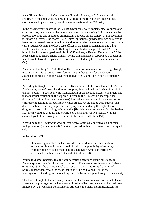when Richard Nixon, in 1969, appointed Franklin Lindsay, a CIA veteran and chairman of the chief working group (as well as of the Rockefeller-financed Itek Corp.) to head up an advisory panel on reorganisation of the CIA. (49)

In the ensuing years many of the key 1968 proposals were implemented by successive CIA directors, most notably the recommendation that the ageing CIA bureaucracy had become too large and should be dramatically cut back. In the context of this reversion to "unofficial cover", the March 1972 Helms injunction against assassination seems to have been a case of carefully locking the door of an already empty stable. Nine months earlier Lucien Conein, the CIA's case officer in the Diem assassination and a high level contact with the heroin trafficking Corsican Mafia, resigned from CIA, to be brought back at the suggestion of his old OSS colleague Howard Hunt into the White House narcotics effort. There, Conein (by his own admission) supervised a special unit which would have the capacity to assassinate selected targets in the narcotics business. (50)

A memo of late May 1972, drafted by Hunt's superior in narcotic matters, Egil Krogh, reports on what is apparently President Nixon's authorisation for the Conein assassination squad, with the staggering budget of \$100 million in non-accountable funds:

According to Krogh's detailed 'Outline of Discussion with the President on Drugs', the President agreed to 'forceful action in [stopping] International trafficking of heroin in the host country'. Specifically the memorandum of the meeting noted, 'it is anticipated that a material reduction in the supply of heroin to the U.S. can be accomplished through a \$100 million (over three years) fund which can be used for clandestine law enforcement activities abroad and for which BNDD would not be accountable. This decisive action is our only hope for destroying or immobilising the highest level of drug traffickers.'....According to Krogh, this [flexible law enforcement..for clandestine activities] would be used for underworld contacts and disruptive tactics, with the eventual goal of destroying those deemed to be heroin traffickers. (51)

According to the *Washington Post* at least twelve other CIA operatives, all of them first-generation (i.e. naturalised) Americans, joined in this BNDD assassination squad. (52)

In the fall of 1971:

Hunt also approached the Cuban exile leader, Manuel Artime, in Miami and - according to Artime - asked him about the possibility of forming a team of Cuban exile hit men to assassinate Latin American traffickers still outside the bailiwick of United States law. (53)

Artime told other reporters that the anti-narcotics operations would take place in Panama (pinpointed after the arrest of the son of Panamanian Ambassador to Taiwan on July 8, 1971 - the day Hunt spoke to Conein in the White House) after Frank Sturgis independently told the press that in 1971 he had joined Hunt in an investigation of the drug traffic reaching the U.S. from Paraguay through Panama. (54)

This lends strength to the recurring rumour that Hunt's narcotics activities included an assassination plan against the Panamanian President Torrijos, whose brother had been fingered by U.S. Customs commissioner Ambrose as a major heroin trafficker. (55)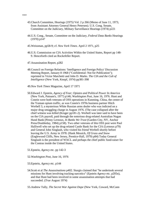- 43.Church Committee, Hearings (1975) Vol. 2 p 266 (Memo of June 11, 1973, from Assistant Attorney General Henry Petersen). U.S. Cong. Senate, Committee on the Judiciary, Military Surveillance Hearings (1974) p221
- 44.U.S. Cong., Senate, Committee on the Judiciary, *Federal Data Banks* Hearings (1970) p147
- 45.Weissman, pp58-9; cf. *New York Times*. April 2 1971, p25
- 46.U.S. Commission on CIA Activities Within the United States, Report pp 148- 9. Henceforth cited an Rockefeller Report.
- 47.Assassination Report, p282
- 48.Council on Foreign Relations: 'Intelligence and Foreign Policy' Discussion Meeting Report, January 8 1968 ("Confidential: Not for Publication"); reprinted in Victor Marchetti and John D. Marks. *The CIA and the Cult of Intelligence* (New York, Knopf, 1974) pp381-398
- 49.*New York Times* Magazine, April 17 1971
- 50.Edward J. Epstein, *Agency of Fear; Opiates and Political Power In America* (New York, Putnam's, 1977) p146; *Washington Post*, June 16, 1976. Hunt and Conein were both veterans of OSS operations in Kunming, China, the centre of the Yunnan opium traffic, as was Conein's 1970s business partner Hitch Werbell 3, a mysterious White Russian arms dealer who was indicted on a major drug smuggling charge in August 1976. (The case collapsed after the chief witness was killed (Kruger pp181-2). Werbell was later said to have been on the CIA payroll, paid through the notorious drug-related Australian Nugan Hand Bank (Penny Lernoux, *In Banks We Trust* (Garden City, NY, Anchor Press/Doubleday, 1984) p158). Two other veterans of this OSS post were Paul Halliwell who set up the drug-related Castle Bank for the CIA (Lernoux p79) and General John Singlaub, who visited his friend Werbell shortly before leaving the U.S. Army in 1978. (Hank Messick, *Of Grass and Snow* (Englewood Cliffs, New Jersey, Prentice-Hall, 1979) p84) Today General Singlaub is the president of WACL and perhaps the chief public fund-raiser for the Contras inside the United States.
- 51.Epstein, *Agency* etc. pp 142-3
- 52.*Washington Post*, June 16, 1976
- 53.Epstein, *Agency* etc. p144
- 54.Scott et al *The Assassinations* p402. Sturgis claimed that "he undertook several missions for Hunt involving tracking narcotics" (Epstein *Agency* etc. p205n), and that Hunt had been involved in some assassination attempts that had succeeded. (*True* August 1974)
- 55.Andrew Tully, *The Secret War Against Dope* (New York, Coward, McCann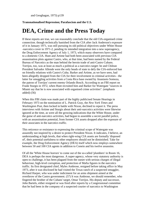and Geoghagan, 1973) p139

#### **Transnationalised Repression; Parafascism and the U.S.**

## **DEA, Crime and the Press Today**

If these reports are true, we can reasonably conclude that the old CIA-organised crime connection. though technically banished from the CIA after Jack Anderson's exposure of it in January 1971, was still pursuing its old political objectives under White House -narcotics cover in 1971-2, pending its intended integration into a new superagency, the Drug Enforcement Agency of July 1, 1973, which many observers have compared to a domestic CIA. Hunt and Artime had both been associated with previous CIA assassination plots against Castro, who, at that time, had been named by the Federal Bureau of Narcotics as the man behind the heroin trade of anti-Castro Cubans. Torrijos, too, was at least as much a political as a narcotics target: he and Chilean President Salvador Allende were the only heads of state to defy the CIA-enforced ban on friendly relations with Castro's Cuba. Barker and Artime, as we have seen, had been allegedly dropped from the CIA for their involvement in criminal activities - the latter for smuggling activities from a Costa Rica base owned by Anastasio Somoza, the patron of Torrijos' current enemy Orlando Bosch. According to an FBI report on Frank Sturgis in 1972, when Hunt recruited him and Barker for Watergate "sources in Miami say that he is *now* associated with organised crime activities". (emphasis added) (56)

When this FBI claim was made part of the highly publicised Senate Hearings in February 1973 on the nomination of L. Patrick Gray, the *New York Times* and *Washington Post*, then locked in battle with Nixon, declined to report it. The press interviews with Artime and Sturgis about their anti-narcotics activities were likewise ignored at the time, as were all the growing indications that the White House, under the guise of anti-narcotics activities, had begun to assemble a secret parallel police, with an assassination potential, from former CIA assets dropped after the exposure of their associates in the narcotics traffic.

This reticence or resistance to expressing the criminal scope of Watergate was assuredly not inspired by a desire to protect President Nixon. It indicates, I believe, an understanding at high levels, that when right-wing CIA assets are formally 'disposed of', their potential usefulness to other employers should not be diminished. Take for example, the Drug Enforcement Agency (DEA) itself which now employs somewhere between 50 and 100 CIA agents in addition to Conein and his twelve assassins.

Of all the 'White House horrors' to come out of the so-called 'plumbers' in Room 16, DEA is perhaps the most dangerous. A super-agency, whose very statutory authority is open to challenge, it has been plagued from the outset with serious charges of illegal behaviour, high-level corruption, and protection of Mafia figures in the narcotics traffic. Its first designated chief, Myles Ambrose, resigned before taking office in May 1973, after it was disclosed he had visited the Texas ranch of a suspected smuggler, Richard Harper, who was under indictment for an arms shipment aimed at the overthrow of the Castro government. (57) It was Ambrose, we should remember, who fingered the brother of the Cubans' target, Omar Torrijos. His deputy and successor, John Bartels, either resigned or was fired after reports by a Congressional committee that he had been in the company of a suspected courier of narcotics to Washington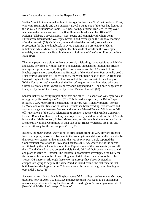from Laredo, the nearest city to the Harper Ranch. (58)

Walter Minnick, the nominal author of 'Reorganisation Plan No 2' that produced DEA, was, with Hunt, Liddy and their superior, David Young, one of the four key figures in the so-called 'Plumbers' at Room 16. It was Young, a former Rockefeller employee, who wrote the orders leading to the first Plumbers break-in at the office of Dr. Fielding (Ellsberg's psychiatrist). It was Young and Minnick with whom John Ehrlichman discussed the Watergate break-in and cover-up on the Monday morning after the break-in.(59) Yet Young, who authorised the break-in, escaped state prosecution for the Fielding break-in by co-operating in a pre-emptive federal indictment; while Minnick, throughout the thousands of words on the Watergate scandals, was never once listed in the index of either the *Washington Post* or the *New York Times*.

The same papers were either reticent or grossly misleading about activities which Hunt and Liddy performed, without Nixon's knowledge, on behalf of Intertel, the private intelligence group now controlling the Nevada casinos of the CIA-linked Howard Hughes organisation. Woodward and Bernstein of the *Washington Post* actually used a Hunt story given them by Robert Bennett, the Washington head of the CIA front and Howard Hughes PR firm where Hunt worked at the time, as part of their litany of 'White House horrors'; even though the 'horror' in question - an interview with one Clifton DeMotte about Edward Kennedy and Chappaquiddick - had been suggested to Hunt, not by the White House, but by Robert Bennett himself. (60)

Senator Baker's Minority Report about this and other CIA aspects of Watergate was, in turn, grossly distorted by the Post. (61). This is hardly surprising; the Baker Report revealed a CIA report from Bennett that Woodward was "suitably grateful" for the DeMotte and other "fine stories" which Bennett had been "feeding" Woodward; and also an arrangement between Bennett and attorney Edward Bennett Williams to "kill off" revelations of the CIA's relationship to Bennett's agency, the Mullen Company. Edward Bennett Williams, the lawyer who previously had done work for the CIA with his and their Mafia contact, Robert Maheu, was, at this time, both the attorney for the Democratic National Committee in their suit about Hunt's Watergate break-in, and also the attorney for the *Washington Post*. (62)

In short, the *Washington Post* was not at arms length from the CIA-Howard Hughes-Intertel complex, whose involvement in the Watergate scandal was hardly indicated by their reporters' stories. In like manner, the *Washington Post* barely reported the Congressional revelations in 1975 about scandals in DEA, where one of the agents scrutinised by the Jackson Subcommittee Report is one of the two agents (let us call them X and Y) said to have boasted widely inside DEA of their personal contact with and plans to retire to - Intertel. The Jackson Subcommittee investigated the DEA for its improper favours to the Howard Hughes-Intertel interests and also to the Robert Vesco-IOS interests. Although these two supergroups have been depicted as competitors vying to acquire the same Paradise Island casino, the fact remains that both have had dealings with the CIA, and also with Cuban exile groups planning to oust Fidel Castro. (63)

An even more critical article in Playboy about DEA, calling it an 'American Gestapo', describes how, in April 1974, a DEA intelligence team was ready to go on a major narcotics operation involving the flow of Mexican drugs to "a Las Vegas associate of [New York Mafia chief] Joseph Colombo":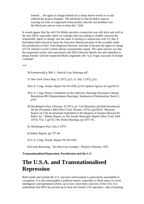Instead ... the agent in charge barked out a sharp dozen words or so and ordered the project dropped. "He informed us that he didn't want us wasting our time on organised-crime probes, that the real problem was the Mexicans and we were to drop this." (64)

It would appear that the old CIA-Mafia narcotics connection was still alive and well in the new DEA, especially when we consider that (according to reliable sources) the responsible 'agent in charge' was the same X (acting in conjunction with Y); that X had almost been forced to leave the Narcotics Bureau because of the scandals under his jurisdiction as New York Regional Director; and that X became the agent in charge of CIA veteran Lucien Conein and his assassination squad. The same sources say that the suspected courier who associated with DEA Director Bartels has also admitted to being 'friends' with the suspected Mafia ringleader, the "Las Vegas associate of Joseph Colombo"

\*\*\*

56.Fensterwald p 506; L. Patrick Gray Hearings p47

57.*New York Times* May 12 1973, p12; cf. July 3 1972, p15.

58.U.S. Cong. Senate, Report No 94-1039, p110; Epstein *Agency* etc pp254-55

- 59.U.S. Cong. House Committee on the Judiciary, Hearings Pursuant to House Resolution 803 (Impeachment Hearings), Statement of Information, Book 2, p167.
- 60.*Washington Post*, February 10 1973, p1: Carl Bernstein and Bob Woodward *All the President's Men* (New York, Warner, 1975), pp230-81 "Minority Report on CIA Involvement Submitted at the Request of Senator Howard M. Baker Jnr." (Baker Report, in *The Senate Watergate Report* (New York, Dell 1974). Vol. 1 pp737,740; Nedzi Hearings, pp 1073-76.

61.*Washington Post*, July 4 1974

62.Baker Report, pp 737-40

63.U.S. Cong. Senate. Report No 94-1039

64.Frank Browning " *An American Gestapo*", Playboy February 1976

**Transnationalised Repression; Parafascism and the U.S.**

# **The U.S.A. and Transnationalised Repression**

Both inside and outside the U.S. narcotics enforcement is particularly susceptible to corruption. It is also inescapably a political matter, especially in those areas of covert intelligence and operations which, up to now, have been concerns of the CIA. It is undeniable that DEA has picked up at least one former CIA operation - that of training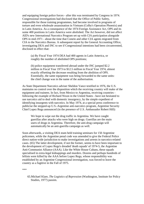and equipping foreign police forces - after this was terminated by Congress in 1974. Congressional investigations had disclosed that the Office of Public Safety, responsible for those training programmes, had become involved in programs of torture and even wholesale assassination in Vietnam (Colby's Operation Phoenix) and in Latin America. As a consequence of the 1974 Foreign Assistance Act, OPS and its some 400 positions in Latin America were abolished. The Act however, did not affect AID's new International Narcotics Program set up with CIA participation alongside OPS in mid-1971 - about the time that Conein and other CIA agents migrated from CIA to the Narcotics Bureau. A subsequent report by the General Accounting Office, investigating DEA and INC to see if Congressional intentions had been circumvented, disclosed in effect that:

(a) By Fiscal Year 1974 DEA had 400 agents in Latin America, or roughly the number of abolished OPS positions;

(b) police equipment transferred abroad under the INC jumped \$2.2 million in Fiscal Year 1973 to \$12.5 million in Fiscal Year 1974, almost exactly offsetting the decrease resulting from the abolition of OPS. Essentially, the same equipment was being forwarded to the same units: the chief change was in the name of the authorisation.

As State Department Narcotics adviser Sheldon Vance testified in 1976, the U.S. maintains no control over the disposition which the receiving country will make of the equipment and trainees. In fact, from Mexico to Argentina, receiving countries following the example of Richard Nixon in the United States - have not hesitated to use narcotics aid to deal with domestic insurgency, by the simple expedient of identifying insurgents with narcotics. In May 1974, at a special press conference to publicise the stepped-up U.S.-Argentine anti-narcotics program, Argentine Security Chief Lopez Rega announced (in the presence of U.S. Ambassador Robert Hill):

We hope to wipe out the drug traffic in Argentina. We have caught guerillas after attacks who were high on drugs. Guerillas are the main users of drugs in Argentina. Therefore, the anti-drug campaign will automatically be an anti-guerilla campaign as well.

Soon afterwards, a visiting DEA team held training seminars for 150 Argentine policemen, while the Argentine penal code was amended to give the Federal Police direct nation-wide jurisdiction to make investigations and arrests in narcotics-related cases. (65) The latter development, if not the former, seems to have been important to the development of Lopez Rega's dreaded 'death squads' of 1974-5, the Argentine Anti-Communist Alliance (AAA). Like the White House Cubans, these squads specialised in extra-legal kidnappings and murders. Dozens and perhaps hundreds of leftists were killed by the AAA before Lopez Rega, whose responsibility was established by an Argentine Congressional investigation, was forced to leave the country as a fugitive in the Fall of 1975.

\*\*\*

65.Michael Klare, *The Logistics of Repression* (Washington, Institute for Policy Studies, 1977) passim.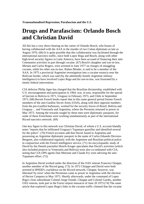# **Drugs and Parafascism: Orlando Bosch and Christian David**

All this has a very direct bearing on the career of Orlando Bosch, who boasts of having collaborated with the AAA in the murder of two Cuban diplomats as late as August 1976. (66) It is quite possible that this collaboration was facilitated through the international narcotics traffic, since both Lopez Rega and Bosch, along with other high-level security figures in Latin America, have been accused of financing their anti-Communist activities in part through cocaine. (67) Bosch's daughter and son-in-law, Miriam and Carlos Rogers, were arrested in June 1977 on charges of smuggling cocaine, while his other son-in-law, Ruben Blinder, is said to be a member of the AAA. In 1975 a provincial Argentine investigation into a cocaine estancia near the Bolivian border, which was said (by the admittedly hostile Argentine military intelligence) to have involved Lopez Rega and his son-in-law, was frustrated by a timely federal intervention.

CIA defector Philip Agee has charged that the Brazilian dictatorship, established with U.S. encouragement and participation in 1964, was, in turn, responsible for the spread of fascism to Bolivia in 1971, Uruguay in February 1973, and Chile in September 1973. (68) Recent French books report that in this same general period former French members of the anti-Gaullist Secret Army (OAS), along with their opposite numbers from the pro-Gaullist barbouzes, worked for the security forces of Brazil, Bolivia and Uruguay ... and Venezuela and Argentina, where the Peronists returned to power in May 1973. Among the rewards sought by these men were diplomatic passports, for some of these Frenchmen were working simultaneously as part of the international Ricord narcotics network. (69)

One key figure in this network was Christian David, of whom a U.S. account blandly notes "reports that he infiltrated Uruguay's Tupamaro guerillas and identified several for the police". (70) French accounts add that David, based in Argentina and possessing an Argentine diplomatic passport in the name of Carlos Eduardo Devreux-Bergeret, also collaborated regularly with the Argentine and Brazilian political police in conjunction with the French intelligence service. (71) An encyclopaedic study of David by the Danish journalist Henrik Kruger speculates that David's activities (which also included projects in Venezuela and Bolivia) were also co-ordinated with CIA, noting that CIA-OPS agents Dan Mitrione and Claude Fry were advising the anti-Tupamaro effort. (72).

In Argentina David worked under the direction of the OAS veteran Francois Chiappe, another member of the Ricord gang. (73). In 1972 Chiappe and David were both arrested in BNDD's crackdown on the Ricord network; Chiappe, however, was liberated 'by error' when the Peronistas came to power in Argentina with the election of Hector Campora in May 1973. Shortly afterwards, under the command of Lopez Riga's close subordinate Colonel Jorge Osinde, Chiappe and Colonel Gardes, another OAS veteran, took part in the Ezeizi airport massacre of June 20 1973.(74) The same article that explored Lopez Rega's links to the cocaine traffic claimed that the cocaine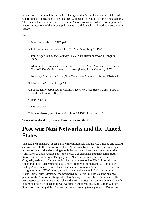moved north from the Salta estancia to Paraguay, the former headquarters of Ricord, where "one of Lopez Rega's closest allies, Colonel Jorge Sinde, became Ambassador". The cocaine there was handled by General Andres Rodriguez, who, according to Jack Anderson, was one of the three top Paraguayan officials who had worked directly with Ricord. (75)

\*\*\*

66.*New Times*, May 13 1977, p.48

- 67.Latin America, December 19, 1975. *New Times* May 13 1977
- 68.Philip Agee, *Inside the Company; CIA Diary* (Harmondsworth, Penguin, 1975) p585
- 69.Alain Jaubert *Dossier D..comme drogue* (Paris, Alain Moreau, 1973); Patrice Chairoff, *Dossier B... comme barbouzes* (Paris; Alain Moureau, 1975)
- 70.Newsday, *The Heroin Trail* (New York, New American Library, 1974) p 155.
- 71.Chairoff p42; cf. Jaubert p291
- 72.Subsequently published as Henrik Kruger *The Great Heroin Coup* (Boston, South End Press. 1980) p78
- 73.Jaubert p290

74.Kruger p113

75.Jack Anderson, *Washington Post* May 24 1972; in Jaubert, p281

**Transnationalised Repression; Parafascism and the U.S.**

# **Post-war Nazi Networks and the United States**

The evidence, in short, suggests that while individuals like David, Chiappe and Ricord can rise and fall, the connection in Latin America between narcotics and para-legal repression is an old and enduring one. In its post-war phase it can be traced to the exfiltration to Latin America of wanted Nazi war criminals and their collaborators. Ricord himself, arriving in Paraguay via a Nazi escape route, had been one. (76) Originally arriving in Latin America thanks to networks like Die Spinne with the collaboration of such eminences as Gustav Frupp von Bohlen and Vatican titular Bishop Alois Hudal, a few of these in situ anti-Communist 'assets' turned to narcotics and gun running. (77) Of these, a ringleader was the wanted Nazi mass murderer Klaus Barbie, alias Altmann, who prospered in Bolivia until 1972 as the business partner of the Admiral in charge of Bolivia's 'navy'. Ricord's Latin American traffics were associated with the Barbie-Schwend Nazi narcotics gun running network, which in turn had been financed by illegal wartime Nazi operations. (78) Author William Stevenson has charged that "the normal police investigative agencies of Britain and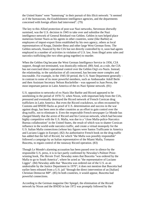the United States" were "hamstrung" in their pursuit of this illicit network: "it seemed as if the bureaucrats, the Establishment intelligence agencies, and the departments concerned with foreign affairs had intervened". (79)

The key to this Allied protection of post-war Nazi networks, Stevenson shrewdly surmised, was the U.S. decision in 1945 to take over and subsidise the Nazi intelligence network of General Reinhard von Gehlen. Gehlen in turn helped place numerous former Nazis as his agents in other countries, some (like Barbie) as employees of import-export firms established by his own agency, others as local representatives of Krupp, Daimler-Benz and other large West German firms. The Gehlen network, financed by the CIA but not directly controlled by it, soon had agents employed in a number of activities in violation of U.S. law, from illegal arms sales and narcotics trafficking (the two often going together) to murder.

When the Gehlen Org became the West German Intelligence Service in 1956, CIA support, though not terminated, was drastically reduced. (80) And, as a rule, the CIA has not exercised direct operational control over the Gehlen Org's ex-Nazis. Instead, the relationship, to the satisfaction of all concerned, has become more complex and inscrutable. For example, in the 1945-50 period, the U.S. State Department generally in contrast to some of its more powerful members, such as Ambassador Adolf Berle and then Assistant Secretary Nelson Rockefeller - was opposed to Juan Peron, the most important patron in Latin America of the ex-Nazi Spinne network. (81)

U.S. opposition to networks of ex-Nazis like Barbie and Ricord appeared to be unrelenting in the period of 1970-72, when Nixon, with important help from the CIA, pressured and eventually destroyed the Ricord network of French Corsican drug traffickers in Latin America. But even the Ricord crackdown, so often recounted by Customs and BNDD flacks as proof of U.S. determination and success in the war against drugs, has been seen in other countries as an effort to gain control over the drug traffic, not to eliminate it. Even the respectable French newspaper Le Monde has charged bluntly that the arrest of Ricord and his Corsican network, which had become highly competitive with the U.S. Mafia, was due to a "close Mafia-police-Narcotics Bureau collaboration" in the United States, the result of which was to shatter Corsican influence in the world-wide narcotics traffic, and create a virtual monopoly for the U.S. Italian Mafia connections (whose key figures were Santos Trafficante in America and Luciano Liggio in Europe). (82) An authoritative French book on the drug traffic has added that the fall of Ricord, for which "the Mafia was possibly responsible" followed a campaign by an Italian representative of the Miami Mafia, Tomasso Buscetta, to regain control of the runaway Ricord operation. (83)

Though Le Monde's alarming accusation has been passed over in silence by the responsible U.S. press, it is in fact partly confirmed by Newsday's Pulitzer Prizewinning book, *The Heroin Trail*. Newsday notes that Buscetta "was ordered by the Mafia to go to South America", where he acted as "the representative of Luciano Liggio". (84) Newsday adds that "Buscetta was ordered out of the U.S. as an undesirable by the Justice Department in 1970"; it does not mention that Buscetta had earlier been released from a U.S. jail "through the direct intervention of an [Italian] Christian Democrat MP". (85) In both countries, it would appear, Buscetta had powerful connections.

According to the German magazine Der Spiegel, the elimination of the Ricord network by Nixon and the BNDD in late 1972 was promptly followed by the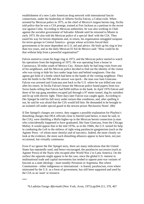establishment of a new Latin American drug network with international fascist connections, under the leadership of Alberto Sicilia Falcon, a Cuban exile. When arrested by Mexican police in 1975, as the chief of Mexico's largest heroin ring, Sicilia told police that he was a CIA protege, trained at Fort Jackson as a partisan in the secret war against Cuba. According to Mexican authorities, he was also working in Chile against the socialist government of Salvador Allende until he returned to Miami in early 1973. He also told the Mexican police of a special 'deal' with the CIA. They eased his way for heroin shipments and, in return, his organisation smuggled weapons for terror-groups in Central America - groups whose activities forced their governments to be more dependent on U.S. aid and advice. He built up his ring in less than two years, and as the daily Mexican El Sol de Mexico said: "How could he do that without help from a powerful organisation?"

Falcon started to create his huge ring in 1973, and the Mexican police started to watch his operations from the beginning of 1975. He was operating from a house in Cuernavaca, 50 miles south of Mexico City. Almost daily he had long visits from one of his neighbours, and the Mexican police decided to find out the identity of the visitor who was trying to hide his face under large hats and behind sunglasses. One day agents got hold of a bottle which had been in the hands of the visiting neighbour. They sent the bottle to the FBI and the answer was quick - the man was Sam Giancana. Falcon was arrested and Giancana sent back to the U.S. where he was killed one year after his return. In Sicilia Falcon's house the Mexican police found papers from two Swiss banks telling that Falcon had \$260 million in the bank. In April 1976 Falcon and three of his top gang members escaped jail through a 97 meter tunnel, dug by outsiders and lit up with electric light. Three days later Falcon was caught again. According to Der Spiegel he told his full story under torture-like conditions, and, after spelling it out, he said he was afraid that the CIA would kill him. He demanded to be brought to an isolated cell under special guard in the newest prison 'Reclusorio Norte'. (86)

If Der Spiegel's charges are correct. they suggest a possible explanation for Playboy's disturbing charges that DEA officials close to Intertel (and hence, it must be said, to the CIA), were shielding a Mafia higher-up in the Mexican heroin connection (a man who coincidentally happened to have graduated, like Sam Giancana, from the Chicago Mafia). It would appear that in the mid 1970s, as in the 1940s, the U.S. turned for help in combating the Left to the milieux of right-wing parafascist gangsterism (such as the Aginter Press - of whom more shortly) and of narcotics. Indeed, the more closely we look at the evidence, the more such disturbing alliances appear to have been, not just occasional, but virtually continuous.

Even if we ignore the Der Spiegel story, there are many indications that the United States has repeatedly used, and hence encouraged, the parafascist successors (such as Aginter Press) of the Nazis who escaped after World War 2 to Latin America. On the surface the opposite might appear to be the case, since the global U.S. interest in multinational trade and capital movements has tended to oppose post-war variants of fascism as a state ideology - most notably Peronism in Argentina. But where Communism - either indigenous or international - is feared, parafascism, even where mistrusted by the U.S. as a form of government, has still been supported and used by the CIA as an 'asset' or resource.

\*\*\*

76.Ladislas Farago *Aftermath* (New York, Avon, 1975) pp204-211, 370, 467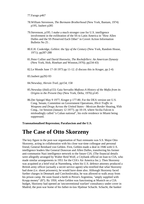77.Farago p467

- 78.William Stevenson, *The Bormann Brotherhood* (New York, Bantam, 1974) p195, Jaubert p285
- 79.Stevenson, p195. I make a much stronger case for U.S. intelligence involvement in the exfiltration of the SS to Latin America in "How Allen Dulles and the SS Preserved Each Other" in Covert Action Information Bulletin No 25 .
- 80.E.H. Cookridge, *Gehlen: the Spy of the Century* (New York, Random House, 1971); pp287-288
- 81.Peter Collier and David Horowitz, *The Rockefellers: An American Dynasty* (New York, Holt, Rinehart and Winston,1976); pp234-43)
- 82.Le Monde June 17-18 1973 pp 11-12. (I discuss this in Kruger, pp 2-4)
- 83.Jaubert pp292-93
- 84.Newsday, *Heroin Trail*, pp154, 158
- 85.Newsday (ibid) p153; Gaia Servadio *Mafioso:A History of the Mafia from its Origins to the Present Day* (New York, Delta, 1976) p145
- 86.Der Spiegel May 9 1977; Kruger p 177-80. For the DEA version see U.S. Cong. Senate, Committee on Government Operations, *Illicit Traffic in Weapons and Drugs Across the United States - Mexican Border* Hearing, 95th Cong., 1st Session (January 12 1977). pp 10-19, where Sicilia Falcon is misleadingly called "a Cuban national", his exile residence in Miami being suppressed.

**Transnationalised Repression; Parafascism and the U.S.**

### **The Case of Otto Skorzeny**

The key figure in the post-war organisation of Nazi remnants was S.S. Major Otto Skorzeny, acting in collaboration with his close war-time colleague and personal friend, General Reinhard von Gehlen. First, Gehlen made a deal in 1946 with U.S. intelligence leaders like General Donovan and Allen Dulles, transferring his former anti-communist Nazi intelligence network to the future CIA. (The financial details were allegedly arranged by Walter Reid Wolf, a Citybank official on loan to CIA, who made similar arrangements in 1951 for the CIA's Air America Inc.). Then Skorzeny was acquitted at a brief trial at Nuremberg, when his U.S. defence attorney produced a British army officer (actually a secret service agent) who testified that what Skorzeny had done (i.e. shoot prisoners), he would have done also. Although Skorzeny faced further charges in Denmark and Czechoslovakia, he was allowed to walk away from his prison camp. He soon found a berth in Peron's Argentina, "amply supplied with Krupp money" (87). By 1950, when Gehlen was functioning at Munich on a CIA budget, Skorzeny had opened an 'unconventional warfare' consultancy under cover in Madrid, the post-war home of his father-in-law Hjalmar Schacht. Schacht, the banker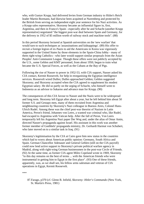who, with Gustav Krupp, had delivered levies from German industry to Hitler's Reich leader Martin Bormann, had likewise been acquitted at Nuremberg and protected by the British from serving an independent eight year sentence for his Nazi activities. As a Krupp sales representative, Skorzeny became an influential figure in, first, Argentina, and then in Franco's Spain - especially after he and Schacht (another Krupp representative) negotiated "the biggest post-war deal between Spain and Germany, for the delivery in 1952 of \$5 million worth of railway stock and machine tools". (88)

In this period Skorzeny lectured at Spanish universities on the 'new warfare' that would turn to such techniques as 'assassinations and kidnappings'. (89) His offer to recruit a foreign legion of ex-Nazis to aid the Americans in Korea was vigorously supported in the United States by those elements in the Spain-China lobby - many of them right-wing Catholics - who later would support similar proposals from the Asian Peoples' Anti-Communist League. Though these offers were not publicly accepted by the U.S., some Gehlen and KMT personnel, from about 1950, began to train what became the U.S. Special Forces, as well as the Cubans at the Bay of Pigs.

Following the rise of Nasser to power in 1952-53, with CIA support, Nasser asked his CIA contact, Kermit Roosevelt, for help in reorganising the Egyptian intelligence services. Roosevelt wired Dulles; Dulles approached Gehlen; Gehlen suggested Skorzeny; and Skorzeny accepted when the CIA agreed to supplement his modest Egyptian salary. He did so partly on the urging of Schacht, who himself went to Indonesia as an advisor to Sukarno and advance man for Krupp. (90)

The consequences of this CIA favour to Nasser and the Nazis were to be widespread and long term. Skorzeny left Egypt after about a year, but he left behind him about 50 former S.S. and Gestapo men, many of them recruited from Argentina and neighbouring countries by Skorzeny's Nazi colleague in Buenos Aires, Colonel Hans-Ulrich Rudel. Among these was the chief post-war theorist of Nazism in Latin America, Peron's friend, Johannes von Leers, a wanted war criminal who, like Rudel, had escaped to Argentina with Vatican help. After the fall of Peron, Von Leers temporarily left his Argentina Nazi paper Der Weg and, under the alias of Omar Amin, directed Nasser's propaganda against Israel. His assistant in this work was another former member of Goebbels' propaganda ministry, Dr. Gerhardt Harmut von Schubert, who later moved on to a similar task in Iraq. (91)

Skorzeny's legitimisation by the CIA at Cairo gave him new status in the countries which had to worry about American public opinion: Germany, South Africa and Spain. German Chancellor Adenauer and General Gehlen (still on the CIA payroll) could now lend active support to Skorzeny's private political warfare agency in Madrid, along with right-wing German businessmen in the post-war Circle of Friends. (92) At the same time, as former CIA agent Miles Copeland wrote in 1969, Skorzeny "to this day remains on the best of terms ... with the American friends who were instrumental in getting him to Egypt in the first place". (93) One of these friends, apparently, was, as we shall see, his fellow arms salesman and veteran of CIA operations in Egypt, Kermit Roosevelt.

\*\*\*

87.Farago, p370 (cf. Glenn B. Infield, *Skorzeny: Hitler's Commando* (New York, St. Martin's Press, 1981)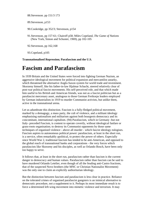88.Stevenson. pp 151/3 173

- 89.Stevenson, p153
- 90.Cookridge, pp 352/3; Stevenson, p154
- 91.Stevenson, pp 157-61; Chairoff p58; Miles Copeland, *The Game of Nations* (New York, Simon and Schuster, 1969), pp 102-105
- 92.Stevenson, pp 162,168

93.Copeland, p105

**Transnationalised Repression; Parafascism and the U.S.**

## **Fascism and Parafascism**

In 1939 Britain and the United States were forced into fighting German Nazism, an aggressive ideological movement for political expansion and mercantilist autarky, which threatened the alternative Anglo-Saxon system for world trade and investment. Skorzeny himself, like his father-in-law Hjalmar Schacht, steered relatively clear of post-war political fascist movements. His self-perceived role, and that which made him useful to his British and American friends, was not as a fascist politician but as a parafascist mercenary asset, analogous to those German Freikorps leaders employed by German industrialists in 1919 to murder Communist activists, but unlike them, active in the transnational arena.

Let us adumbrate this distinction. Fascism is a fully-fledged political movement, marked by a demagogy, a mass party, the cult of violence, and a militant ideology emphasising nationalism and militarism against both bourgeois democracy and its concomitant, international capitalism. (94) Parafascism, which in Germany -but not Italy- preceded Fascism, is content to operate covertly, without ideological fanfare or grass-roots organisation; to destroy its Communist opponents by those same techniques of organised violence - above all murder - which fascist ideology eulogises. Fascism aspires to autonomous political power: parafascism, at least in the short run, is a service, often remarkably apolitical, to protect the power of others. Especially since World War 2, traditional fascism has tended to be anti-American, and opposed to the global reach of transnational banks and corporations - the very forces which parafascists like Skorzeny and his disciples, as well as Orlando Bosch, have been only too happy to serve.

It follows that, at least in the short run, parafascism rather than fascism is the current danger to democracy and human values. Parafascism rather than fascism can be said to have murdered Orlando Letelier, even though of all the feuding anti-Castro fractions, that of the suspected Novo brothers (the MNC or Christian Nationalist Movement) was the only one to claim an explicitly authoritarian ideology.

But the distinction between fascism and parafascism is less clear in practice. Reliance on the tolerated crimes of organised parafascist gangsters is an inimical alternative to democratic procedure, not a supplement to it. Perhaps its most immediate result is to force a determined left-wing movement into mimetic violence and terrorism. It may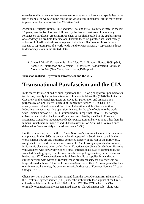even desire this, since a militant movement relying on small arms and specialists in the use of them is, as we saw in the case of the Uruguayan Tupamaros, all the more prone to penetration by parafascists like Christian David.

Argentina, Uruguay, Brazil, Chile and now Thailand are all countries where, in the last 15 years, parafascism has been followed by the fascist overthrow of democracy. Reliance on parafascist assets in Europe has, as we shall see, led to the establishment of a shadowy but credible Internacional Fascista there. So parafascism is not merely abhorrent in itself, and a threat to exposed individuals like Letelier. In so far as it appears to represent part of a world-wide trend towards fascism, it represents a threat to democracy, even in the United States.

\*\*\*

94.Stuart J. Woolf. *European Fascism* (New York, Random House, 1969) p342; Samuel P. Huntingdon and Clement H. Moore (eds) *Authoritarian Politics in Modern Society* (New York, Basic Books,1970) p341

**Transnationalised Repression; Parafascism and the U.S.**

# **Transnational Parafascism and the CIA**

In its search for disciplined criminal operators, the CIA originally drew upon narcotics traffickers, notably the Italian networks of Luciano in Marseilles (1948-50). Later the CIA drew on the French gangsters employed for penetration and assassination purposes by Colonel Pierre Fourcald of French intelligence (SDECE). (The CIA already knew Colonel Fourcald from its collaboration with his Service Action Indochine - a special warfare operation financed by the sale of opium to the worldwide Corsican networks.) (95) It is rumoured in Europe that QJ/WIN, "the foreign citizen with a criminal background", who was recruited by the CIA in Europe to assassinate Congolese independence leader Patrice Lumumba, was none other than the famous French heroin financier and SDECE assassin, Joe Attia, who Fourcald once defended as "an absolutely extraordinary agent". (96)

But the relationship between the CIA and Skorzeny's parafascist services became more complicated in the 1960s, as democracies disappeared in South America while the world's major powers and industries competed fiercely in the rest of the third world, using whatever covert resources were available. As Skorzeny approached retirement, in Spain his place was taken by his former Egyptian subordinate Dr. Gerhardt Hartmut von Schubert, who slowly developed a small international squad of commandos, the so-called Paladingruppe, from former French Foreign Legionnaires, paratroopers and barbouzes. (97) The successive tumult of French politics supplied him and other similar services with waves of recruits whose proven capacity for violence was no longer desired at home. Thus the former anti-Gaullists of the OAS were joined by their one-time mortal enemies, the counter-terrorist barbouzes of Foccart's Service d'Action Civique. (SAC).

Clients for Von Schubert's Paladins ranged from the West German firm Rheinmetall to the Greek intelligence service (KYP) under the ambitiously fascist junta of the Greek colonels which lasted from April 1967 to July 1974. The KYP, which the CIA originally organised and always remained close to, played a major role - along with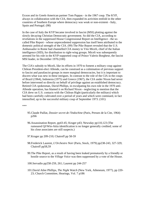Exxon and its Greek-American partner Tom Pappas - in the 1967 coup. The KYP, always in collaboration with the CIA, then expanded its activities tenfold in the other countries of Southern Europe where democracy was weak or non-existent - Italy, Spain and Portugal. (98)

In the case of Italy the KYP became involved in fascist (MSI) plotting against the slowly decaying Christian Democratic government. So did the CIA, according to revelations in the suppressed House Congressional Report on Intelligence - the socalled Pike Report - whose unprecedented suppression has itself been attributed to the domestic political strength of the CIA. (99) The Pike Report revealed that the U.S. Ambassador in Rome had channelled CIA money to Vito Miceli, chief of the Italian intelligence (SID), for distribution to right-wing groups. Miceli was subsequently arrested for his role in the KYP-supported coup of Prince Valerio Borghese, the fascist MSI leader, in December 1970.(100)

The CIA's subsidy to Miceli, like its efforts in 1970 to foment a military coup against Chilean President-elect Allende, can be construed as a culmination of previous support to fascist and parafascist groups in more marginal democracies, but it is important to discern what was new in these intrigues. In contrast to the role of the CIA in the coups of Brazil (1964), Indonesia (1975) and Greece (1967), the CIA under Nixon had never before intervened so directly on behalf of privilege against an established democracy. Retired CIA spokesman, David Phillips, in exculpating his own role in the 1970 anti-Allende operation, has blamed it on Richard Nixon - neglecting to mention that the CIA drew on U.S. contacts with the Chilean Right (particularly the military) which had been carefully cultivated over a period of years and which were continued, in fact intensified, up to the successful military coup of September 1973. (101)

\*\*\*

- 95.Claude Paillat, *Dossier secret de l'Indochine* (Paris, Presses de la Cite, 1964) p266
- 96.Assassination Report, pp43-45; Kruger p43; Newsday pp110,123 (The rumoured QJ/Win-Attia identification is no longer generally credited; some of his close associates are still suspects.)
- 97.Kruger pp 209-210; Chairoff pp 58-59
- 98.Frederick Laurent, *L'Orchestre Noir* (Paris, Stock, 1979) pp238-243, 327-329; Chairoff pp58,59
- 99.The Pike Report, as a result of having been leaked prematurely by a friendly or hostile source to the *Village Voice* was then suppressed by a vote of the House.
- 100.Servadio pp258-259, 261; Laurent pp 244-257
- 101.David Atlee Phillips, *The Night Watch* (New York, Atheneum, 1977), pp 220- 23; Church Committee, Hearings, Vol. 7 p186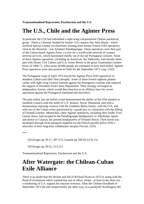**Transnationalised Repression; Parafascism and the U.S.**

# **The U.S., Chile and the Aginter Press**

In particular the CIA had subsidised a right-wing conspiratorial Chilean parafascist group - Patria y Libertad, headed by former CIA contacts like Julio Duran - which received special counter-revolutionary training from former French OAS operatives close to the Skorzeny - von Schubert Paladingruppe. These operatives were then part of the Lisbon-based Aginter Press, a cover for a world-wide network of counterterrorist services, which functioned chiefly out of the old Portuguese colonies. Some of these Aginter operatives, including an American, Jay Sablonsky, had already taken part with former CIA Cubans and U.S. Green Berets in the great Guatemalan counterterror of 1968-71, when some 50,000 people are estimated to have been killed. Aginter Press operatives were also present in Chile for the September 1973 coup. (102)

The Portuguese coup of April 1974 forced the Aginter Press OAS operatives to abandon Lisbon (and their files) abruptly. Some of these French rightists plotted vainly with right-wing General Spinola against the Portuguese centrists who enjoyed the support of President Ford's State Department. Their strategy envisaged an independent Azores, which would then function as an offshore base for covert operations against the Portuguese mainland and elsewhere.

The plan failed, but not before it had demonstrated the ability of the OAS plotters to establish contacts with the staffs of U.S. Senator, Strom Thurmond, and with a businessman enjoying contacts with the Gambino Mafia family, with the CIA, and with two of the Cuban exiles questioned by a grand jury in connection with the killing of Orlando Letelier. Meanwhile, other Aginter operatives, including their leader Yves Guerin-Serac, had escaped to the Paladingruppe headquarters in Albufereta, Spain, and thence to Caracas, the present headquarters of Orlando Bosch. Their travel was facilitated through fresh passports supplied via the French parallel police (SAC) networks of their long-time collaborator Jacques Foccart. (103)

\*\*\*

102.Kruger pp 10-11, 207-212; Laurent pp 160-63 (cf fn 11)

103.Kruger pp 20-22, 213-215

Transnationalised Repression; Parafascism and the U.S.

# **After Watergate: the Chilean-Cuban Exile Alliance**

There is no doubt that the decline and fall of Richard Nixon in 1973-4, along with the flood of revelations which washed him out of office, meant - at least in the short run a weakening of U.S. support for reaction overseas. After the Chilean bloodbath of September 1973 the tide turned briefly the other way, as a paralysed Washington did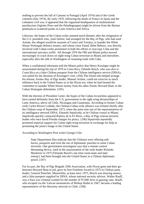nothing to prevent the fall of Caetano in Portugal (April 1974) and of the Greek colonels (July 1974). By early 1976, following the death of Franco in Spain and the Lebanese civil war, it appeared that the organised headquarters of multinational parafascism (Aginter Press and the Paladingruppe) might be driven from the Iberian peninsula to scattered points in Latin America and Africa.

Likewise, the hopes of the Cuban exiles seemed much dimmer after the resignation of the U.S. president who, years before, had arranged for the Bay of Pigs; who had used Artime, the alleged would-be assassin of Castro and Torrijos, to launder the White House Watergate defence money; and whose close friend, Bebe Rebozo, was directly involved with Cuban exiles prominent in both the efforts to reoccupy Cuba and the international narcotics traffic. All through 1976 the FBI and Miami police moved increasingly to crack down on right-wing Cuban terrorism in Miami and elsewhere, especially after the talk in Washington of resuming trade with Cuba.

When a confidential informant told the Miami police that Henry Kissinger might be assassinated during his trip of 1976 to Costa Rica, Orlando Bosch, who was also in Costa Rica on a false Chilean passport from the Chilean intelligence service (DINA), was jailed for the duration of Kissinger's visit. (104) The friend who helped arrange his release, former Bay of Pigs leader, Manuel Artime, could not exercise as much influence back in the United States as in the Nixon era, when he had formed the committee to launder White House money from his other friend, Howard Hunt, to the Cuban Watergate defendants. (105)

With the election of President Carter, the hopes of the Cuban revanchists appeared to have turned definitely from the U.S. government to the right-wing dictatorships of Latin America, above all Chile, Nicaragua and Guatemala. According to former Cuban exile Carlos Rivero Collado, the Chilean-Cuban exile alliance was formed shortly after the Chilean coup of September 1973, when the junta sent one of the representatives of its intelligence network DINA, Eduardo Sepulveda, to be Chilean consul in Miami. Sepulveda quickly contacted Ramiro de la Fe Perez, a Bay of Pigs veteran terrorist leader who once faced Florida charges for piracy. (106) Sepulveda reportedly promised material support for Cuban right-wing terrorism in exchange for help in promoting the junta's image in the United States.

According to *Washington Post* writer George Crile:

State Department files indicate that the Chileans were offering safe haven, passports and even the use of diplomatic pouches to some Cuban terrorists. One government investigator says that a remote control detonating device, used in the assassination of the exile leader Rolando Masferrer in 1975 [Orlando Bosch's one time room-mate and later enemy], had been brought into the United States in a Chilean diplomatic pouch. (107)

For its part, the Bay of Pigs Brigade 2506 Association, with Nixon gone and their gobetween Howard Hunt in jail, gave its first Freedom Award in 1975 to Chilean junta leader, General Pinochet. Meanwhile, at least since 1975, Bosch was drawing money and a false passport supplied by DINA, whose national security advisor, Walter Rauff, was a Nazi war criminal wanted for the murder of 97,000 Jews in gassing vans. Rauff, who escaped via the Vatican monasteries of Bishop Hudal in 1947, became a leading representative of the Skorzeny network in Chile. (108)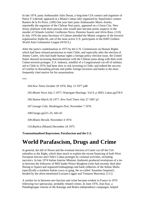In late 1974, junta Ambassador Julio Duran, a long-time CIA contact and organiser of Patria Y Libertad, appeared at a Miami Cuban rally organised by Sepulveda's contact Ramiro de la Fe Perez. (109) One year later junta Ambassador Mario Arnelo, reportedly the organiser of the Chilean Nazi party, appeared on a Union City, New Jersey platform with three persons who would later become prime suspects in the murder of Orlando Letelier; Guillermo Novo, Dionisio Suarez and Alvin Ross. (110) In July 1976 the junta Secretary of Culture attended the Miami congress of the terrorist organisation Alpha 66, one of the most active U.S. participants in the KMT-Gehlen-World Anti-Communist League (WACL).

After the junta's condemnation in 1975 by the U.N. Commission on Human Rights which had been refused permission to enter Chile, and especially after the election of Jimmy Carter, who had made human rights a foreign policy election issue, the United States showed increasing disenchantment with the Chilean junta along with their exile Cuban terrorist proteges. U.S. industry, mindful of a Congressional cut-off of military aid to Chile in 1974, had been slow to risk investing in Chile; and indeed the success of Letelier in dissuading private and public foreign investors and banks is the most frequently cited motive for his assassination.

\*\*\*

104.*New Times* October 29 1976, May 13 1977 p48

105.*Miami News* July 2 1977; Watergate Hearings, Vol 9, p 3693; Lukas pp278-9

106.*Nation* March 26 1977; *New York Times* July 27 1967 p2

107.George Crile, *Washington Post*, November 7 1976

108.Farago pp221-25; 442-43

109.*Miami Herald*, November 4 1974

110.*Replica* (Miami) December 24 1975

**Transnationalised Repression; Parafascism and the U.S.**

## **World Parafascism, Drugs and Crime**

In general, the fall of Nixon and the eventual election of Carter cut off the CIA subsidies to the Right, which does much to explain the recent financing of both West European fascists and Chile's Cuban proteges by criminal activities, including narcotics. In late 1974 Italian Interior Minister Andreotti produced revelations of a tiein between the followers of MSI leader Prince Borghese (who had recently died after fleeing to Spain) and organised kidnappings and bank robberies of the Italian Mafia (specifically a northern Italian cosca or gang, the so-called 'Anonima Sequestri', headed by the afore-mentioned Luciano Liggio and Tomasso Buscetta). (111)

A similar tie-in between neo-fascism and crime became evident in France in 1976 following two spectacular, probably related crimes. In June 1976, Jean Kay, a Paladingruppe veteran of the Katanga and Biafra independence campaigns, helped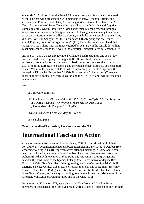embezzle \$1.5 million from the French Mirage jet company, funds which reportedly went to a right-wing organisation with members in Italy, Lebanon, Britain, and elsewhere. (112) One month later, Albert Spaggiari, a veteran of the famous OAS Delta-6 commando of Roger Degueldre, as well as of the Indochina and Algerian campaigns, stole \$12 million from a Nice bank which his gang reached through a tunnel from the city sewers. Spaggiari claimed to have given his money to an Italian fascist organisation in Turin called La Catena, which the police could not trace. They did, however, link Spaggiari to "the Turin-based CIDAS group and the French GRECE group, both fascist organisations". (113) Later, the police speculated that Spaggiari's loot, along with the funds extorted by Jean Kay in the assault-de Vathaic blackmail scandal, found their way to the Christian Falangist Party in Lebanon. (114)

In June 1977, as we have already noted, Orlando Bosch's daughter and son-in-law were arrested for attempting to smuggle \$200,000 worth of cocaine. There are, moreover, grounds for suspecting an organised connection between the criminal activities of the European neo-fascists and the Cuban exiles. Both Kay and Spaggiari visited Miami in the summer of 1976, where, according to Henrik Kruger and the Journal de Dimanche (September 5 1976), Kay met with Cuban exiles. (The even more suggestive contact between Spaggiari and the CIA, in Miami, will be discussed in a moment.)

\*\*\*

111.Servadio pp258-61

112.*San Francisco Chronicle* May 31 1977 p 8; Chairoff p98; Wilfred Burchett and Derek Roebuck, *The Whores of War: Mercenaries Today* (Harmondsworth: Penguin. 1977), p156

113.*San Francisco Chronicle* May 31 1977 p8

114.Burchett p156

**Transnationalised Repression; Parafascism and the U.S.**

# **International Fascista in Action**

Orlando Bosch's most recent umbrella alliance, CORU (Co-ordination of United Revolutionary Organisations) had just been assembled in June 1976. In October 1976, according to Kruger, CORU representatives attended meetings in Barcelona, Spain, which established a new International Fascista. This comprised elements from the Italian MSI (the Ordine Nuovo of Pino Rauti and Giovanni Ventura), Argentine fascists, the hard-liners of the Spanish Falange (the Fuerza Neuva of deputy Blas Pinar), the Cristi Rey Guerillas of the right-wing and anti-Vatican Spanish Catholic Mariano Sanchez Covisa, Cuban exile terrorists, the remnants of Aginter Press (now known as the ELP, or Portuguese Liberation Army, but still headed by OAS veteran Yves Guerin-Serac), and - always according to Kruger - former terrorist agents of the Skorzeny-von Schubert Paladingruppe and of the CIA. (115)

In January and February 1977, according to the New York and London *Times*, members or associates of the first five groups were arrested by Spanish police for their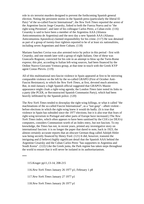role in six terrorist murders designed to prevent the forthcoming Spanish general election. Noting the persistent stories in the Spanish press (particularly the liberal El Pais) "of the so-called Fascist International", the *New York Times* reported the arrest of the Argentine fascist Jorge Cesarsky, linked to both the Fuerza Nueva and to "the right-wing Peronism", and later of his colleague Carlos Perez, a Cuban exile. (116) Cesarsky is said to have been a member of the Argentina AAA (Alianza Anticommunista de Argentina) and the next day a new Spanish AAA (Alianza Anticomunista Apostolica) claimed responsibility for his crime. (117) He was detained as part of a group of twenty-four rightists reported to be of at least six nationalities, including seven Argentines and three Cubans. (118)

Mariano Sanchez Covisa was also arrested twice by police in this period - first with Cesarsky, and one month later with a group of eight Italians. One of these was Giancarlo Rognoni, convicted for his role in an attempt to blow up the Turin-Rome express; this plot, according to Italian left-wing sources, had been financed by the Ordine Nuovo-Giovanni Ventura group, at that time in touch with the Greek KYP agent Costas Plevris. (119)

All of this multinational neo-fascist violence in Spain appeared at first to be mirroring comparable violence on the left by the so-called GRAPO (First of October Anti-Fascist Resistance), to which the *New York Times*, at first, devoted much attention. But, in mid-January a high Spanish official suggested that GRAPO's Maoist appearance might cloak a right-wing agenda; the London *Times* later noted its links to a party (the PCER, or Reconstructed Spanish Communist Party), which had been heavily infiltrated by the Spanish police. (120)

The *New York Times* tended to downplay the right-wing killings, or what it called "the machinations of the so-called Fascist International", as a "last gasp" - albeit violent before elections in which the right-wing knew it would do badly. (It is true that violence in Spain has subsided since the 1977 elections; but it is also true that fears of right-wing terrorism in Portugal and other parts of Europe have increased.) The *New York Times* index, which often appears to have been sanitised by the CIA's (or DEA's) computers, considers Communism worth of an Index entry, but not fascism. To my knowledge, the *Times* has not, in recent years, printed any investigative story on international fascism: it is no longer the paper that dared to note, back in 1923, the almost certainly accurate reports that an obscure German thug called Adolph Hitler was being secretly financed by Henry Ford. (121) It did, however, transmit the intriguing and (I believe) highly significant detail that the Spanish AAA behind the Argentine Cesarsky and the Cuban Carlos Perez "has supporters in Argentina and South Korea". (122) Like the Greek junta, the Park regime has taken steps throughout the world to ensure that it will never be isolated in its authoritarianism.

\*\*\*

115.Kruger pp11,13-14, 208-215

116.*New York Times* January 26 1977 p1; February 1 p8

117.*New York Times* January 27 1977 p1

118.*New York Times* January 26 1977 p1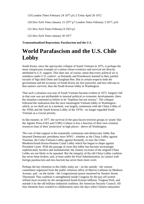119.London *Times* February 24 1977 p5; *L'Unita* April 26 1972

120.*New York Times* January 15 1977 p7 London *Times* February 3 1977, p16

121.*New York Times* February 8 1923 p3

122.*New York Times* January 30 1977

**Transnationalised Repression; Parafascism and the U.S.**

# **World Parafascism and the U.S. Chile Lobby**

South Korea, since the spectacular collapse of South Vietnam in 1975, is perhaps the most conspicuous example of a nation whose existence and survival are directly attributed to U.S. support. This does not, of course, mean that every political act is somehow under U.S. control - as Kennedy and Eisenhower learned in their painful travails of Ngo dinh Diem and Syngham Ree. But in certain respects both the government and the economy of South Korea are less powerful, and less relevant to that nation's survival, than the South Korean lobby in Washington.

That such a situation was true of South Vietnam became evident in 1975. Saigon's fall in that year was not attributable to internal political or economic developments: there the situation continued as before to be "hopeless but not serious". The collapse followed the realisation that the once intransigent Vietnam lobby in Washington which, as we shall see in a moment, was largely continuous with the China Lobby of the 1950s and the South Korean Lobby of the 1970s - no longer regarded South Vietnam as a crucial priority.

In like manner, in 1977, the survival of the para-fascist terrorist groups or 'assets' like the Aginter Press-OAS and CORU-Cubans is less a function of their own criminal resources than of their 'protection' in high places - above all Washington.

The core of that support is the essentially continuous anti-democratic lobby that harassed Democratic presidents since WW2 - whether as the China Lobby against Trueman, the Cuba-Vietnam Lobby against Kennedy, or now the Chile-Rhodesia/South Korea-Panama Canal Lobby which has begun to shape against President Carter. With the passage of years this lobby has become increasingly sophisticated, faceless and multinational; the clumsy excesses of the original China Lobby are not likely to be repeated. But the integrity of the old China Lobby coalition has never been broken; and, at least under the Ford Administration, its contact with foreign parafascism and neo-fascism has never been more overt.

Perhaps the key elements in this lobby today are - on the outside - the various committees organised from the public relations office of Marvin Liebman on Madison Avenue, and - on the inside - the Congressional power mustered by Senator Strom Thurmond. This coalition is strengthened inside Congress by the pay-off system refined most recently by the unregistered South Korean lobbyist, Tongsun Park, and outside it by the old military-industrial coalition, the American Security Council. All four elements have worked in collaboration since the days when Chinese nationalist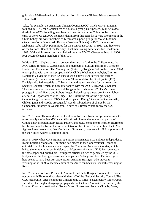gold, via a Mafia-tainted public relations firm, first made Richard Nixon a senator in 1950. (123)

Take, for example, the American-Chilean Council (ACC) which Marvin Liebman founded in 1975, for a Chilean fee of \$36,000 a year plus expenses.(124) At least a third of the ACC's founding members had been active in the China Lobby from as early as 1946. Of ten ACC members dating from this period, six were prominent in the China Lobby, six were members of Liebman's support group for Moise Tshombe (American Committee to Aid Katanga Freedom Fighters) in 1961, members of Liebman's Cuba lobby (Committee for the Monroe Doctrine) in 1963, and five were on the National Board of the Buckley - Liebman Young Americans for Freedom in 1963. Of the eight Americans who helped draft the WACL Charter at Seoul in 1966, four became leading members of the ACC.

In May 1976, lobbying vainly to prevent the cut-off of aid to the Chilean junta, the ACC turned for help to Cuban exiles and members of Sun Myung Moon's Freedom Leadership Foundation. The Moon group (linked by Tongsun Park to the Korean CIA) was supplied with pro-junta propaganda by Chile's Washington lobbyist, Dimitru Danielopol, a veteran of the CIA-subsidised Copley News Service and former spokesman (in collaboration with Senator Thurmond) for the Greek junta. (125) Danielpo also fed materials to Cuban exiles and others working for the American Security Council (which, in turn, interlocked with the ACC). Meanwhile Senator Thurmond was key senate contact of Tongsun Park, while in 1973 Park's House proteges Richard Hanna and Robert Leggett helped set up a new pro-Taiwan lobby after a KMT-sponsored visit to Taipei. (126) Until the fall of the right-wing Cambodian government in 1975, the Moon paper, Rising Tide (full of Cuban exile, Chilean junta and WACL propaganda) was distributed free of charge by the Cambodian Embassy in Washington - a service ultimately paid for by the U.S. taxpayer.

In 1975 Senator Thurmond was the focal point for visits from European neo-fascists, most notably the Italian MSI leader Giorgio Almirante, the intellectual patron of Ordine Nuovo's paramilitary leader Paolo Gambescia. Some months earlier Thurmond had been contacted by another representative of the Ordine Nuovo milieu, the OAS-Aginter Press mercenary, Jean-Denis de la Raingeard, together with U.S. supporters of the short-lived Azores Liberation Front.

Back in 1969, when OAS-Aginter operatives assassinated Mozambique independence leader Eduardo Mondlane, Thurmond had placed in the Congressional Record an editorial from his home-state newspaper, the Charleston News and Courier, which hailed the murder as an act in defence of Western civilisation. (127) For some years the newspaper had printed pro-Portuguese articles on Africa generated by the U.S. lobbyists for the Portuguese overseas companies, Selvage and Lee. The key figure here seems to have been Associate Editor Anthony Harrigan, who moved to Washington in 1969 to become editor of the American Security Council's Washington Report.

In 1975, when Ford was President, Almirante and de la Rangeard were able to consult not only with Thurmond but also with the staff of the National Security Council. The CIA, meanwhile, after helping the Chilean junta to write its exculpatory White Paper, subsidised the English-language propaganda book *Chile's Marxist Experiment* by the London *Economist* staff writer, Robert Moss. (A two part piece on Chile by Moss,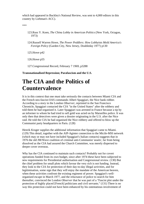which had appeared in Buckley's National Review, was sent to 4,000 editors in this country by Liebman's ACC).

\*\*\*

- 123.Russ Y. Koen, *The China Lobby in American Politics* (New York, Octagon, 1973)
- 124.Russell Warren Howe, *The Power Peddlers: How Lobbyists Mold America's Foreign Policy* (Garden City, New Jersey, Doubleday 1977) p130

125.Howe p42

126.Howe p55

127.Congressional Record, February 7 1969, p3288

**Transnationalised Repression; Parafascism and the U.S.**

## **The CIA and the Politics of Countervalence**

It is in this context that one must take seriously the contacts between Miami CIA and the French neo-fascist-OAS commando Albert Spaggiari, the Nice bank robber. According to a story in the London *Observer*, reprinted in the San Francisco Chronicle, Spaggiari contacted the CIA "in the United States" after the robbery and told them he had organised it. Later Spaggiari was arrested in France because a tip by an informer to whom he had tried to sell gold was acted on by Marseilles police. It was only then that detectives were given a dossier originating in the U.S. after the Nice raid. He told the CIA he had organised the Nice robbery and offered to blow up the Communist party headquarters in Paris. (128)

Henrik Kruger supplies the additional information that Spaggiari came to Miami. (129) This detail, together with the AIP-Aginter connection to the Micile-MSI network (which may or may not have included Spaggiari's Italian contacts) suggests that in 1976 the old JM/Wave coalition of criminal anti-Communist 'assets', far from being dissolved as the CIA had assured the Church Committee, was merely dispersed to deeper cover overseas.

Why has the CIA continued to maintain such contacts? Probably not for covert operations funded from its own budget, since after 1974 these have been subjected to new requirements for Presidential authorisation and Congressional review. (130) But the chief problem for small plots which favour the very rich is not funding. Instead, they look to the CIA for protection of their day-to-day illegal activities, and for legitimisation, some sign that they will enjoy the mandate of the American heaven, when these activities confront the existing regiment of power. Spaggiari's wellorganised escape in March 1977, and the reluctance of police to search for him thereafter, convinced the London *Observer* that he was part of a "Fascist plot under the protection of highly placed [French] politicians and civil servants." (131) There is no way this protection could not have been enhanced by his ostentatious involvement of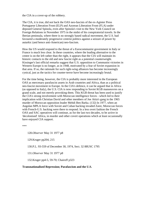the CIA in a cover-up of the robbery.

The CIA, it is true, did not back the OAS neo-fascists of the ex-Aginter Press Portuguese Liberation Front (ELP) and Azorean Liberation Front (FLA) under deposed General Spinola, even after Spinola's visit to the New York Council on Foreign Relations in November 1975 in the midst of his conspiratorial travels. In the Iberian peninsula, where there is no strongly based radical movement, the U.S. had favoured a moderately progressive centrist politics against a seizure of power by autarkic (and hence anti-American) neo-fascism.

How the US would respond to the threat of a Eurocommunist government in Italy or France is much less clear. In these countries, where the leading alternative to the centre is on the left rather than the right, it appears that the CIA will maintain its historic contacts to the old and new fascist right as a potential counterweight. Kissinger's last official remarks suggest that U.S. opposition to Communist victories in Western Europe is no longer, as in 1948, motivated by a fear of Soviet expansion in that area. If so, the rationale for such right-wing alliances has become increasingly cynical, just as the tactics for counter-terror have become increasingly brutal.

For the time being, however, the CIA is probably more interested in the European OAS as mercenary parafascist assets in Arab countries and Africa, than as a political neo-fascist movement in Europe. In the CIA's defence, it can be argued that in Africa (as opposed to Italy), the U.S. CIA is now responding to Soviet KGB manoeuvres on a grand scale, and not merely provoking them. This KGB threat has been used to justify the CIA's strong involvement with Moroccan intelligence forces - which led to their implication with Christian David and other members of Joe Attia's gang in the 1965 murder of Moroccan opposition leader Mehdi Ben Barka. (132) In 1977, when an Angolan MPLA force with Soviet and Cuban backing invaded Zaire, Moroccan forces with French-U.S. backing were there to respond. In a less overt fashion the French OAS and SAC operatives will continue, as for the last two decades, to be active in 'decolonised' Africa, in murder and other covert operations which at least occasionally have enjoyed CIA support.

\*\*\*

128.*Observer* May 31 1977 p8

129.Kruger pp204, 215

130.P.L. 93-559 of December 30, 1974, Sect. 32 88USC 1795

131.*Observer* May 31 1977 p8

132.Kruger pp4-5, 59-70; Chairoff p323

#### **Transnationalised Repression; Parafascism and the U.S.**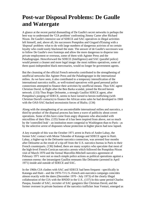# **Post-war Disposal Problems: De Gaulle and Watergate**

A glance at the recent partial dismantling of De Gaulle's secret networks is perhaps the best way to understand the 'CIA problem' confronting Jimmy Carter after Richard Nixon. De Gaulle's intensive use of SDECE and SAC operatives in illegal activities left himself, and, above all, his successors Pompidou and Gisgard d'Estaing with a 'disposal' problem: what to do with large numbers of dangerous activists of no certain loyalty who could easily blackmail the state. The answer of de Gaulle's successors was to follow De Gaulle's own footsteps and allow the more dangerous to disperse into private employment or overseas, some of them with Aginter Press and the Paladingruppe. Henceforward the SDECE (Intelligence) and SAC (parallel police) would present a cleaner and more legal image: the most ruthless operatives, some of them quasi-independent black mercenaries, would no longer be government agents.

But the cleansing of the official French networks contributed to the strengthening of unofficial networks like Aginter Press and the Paladingruppe in the international milieu. As we have seen, it also contributed to a temporary intensification of the international narcotics traffic, as well-trained operatives with good personal police connections attempted to finance their activities by unofficial means. Thus SAC agent Christian David, in flight after the Ben Barka scandal, joined the Ricord heroin network. (133) Thus Roger Delouette, a strongly Gaullist SDECE agent, after Pompidou's purging of SDECE, seems to have turned to heroin trafficking (with Christian David's contacts) to finance the African arms sales he had developed in 1969 with the OAS-SAC-backed secessionist forces of Biafra. (134)

Along with the strengthening of an uncontrollable international milieu and narcotics, a third by-product of the disposal process has been a wave of publicity about covert operations. Some of this have come from angry disposees who absconded with microfilms of their files. (135) Some of it has been inspired from above, not so much by the 'controlled leak' - an institution more congenial to Washington than to Paris - as by the selective arrest of disposees whose protection in higher places had now lapsed.

A key example of this was the October 1971 arrest in Paris of Andre Labay, the former SAC contact with Moise Tshombe of Katanga and SDECE agent in Haiti. Labay, a higher-up in the Delouette narcotics connection, was arrested four months after Delouette as the result of a tip-off from the U.S. narcotics bureau in Paris to their French counterparts. (136) Indeed, there are many sceptics who speculate that most of the high-level French-Corsican narcotics arrests which followed the Pompidou-Nixon visit of March 1970 and the formal Marcellin-Mitchell narcotics agreement of February 1971 were not so much simple police actions as political operations against a common enemy: the intransigent Gaullist remnants like Delouette (arrested in April 1971) inside and outside of SDECE and SAC.

In the 1960s CIA clashes with SAC and SDECE had been frequent - specifically in Katanga and Haiti - and the 1970-73 U.S.-French anti-narcotics campaign coincides almost exactly with the dates (December 1970 - July 1973) of the clearly illegal collaboration of the CIA with the BNDD in the U.S.. (137) In this same period Charles Pasqua, founder of SAC, recruiter of SAC gangsters like Christian David, and the former overseer in private business of the narcotics trafficker Jean Venturi, emerged as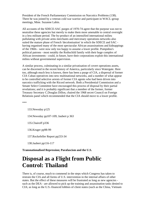President of the French Parliamentary Commission on Narcotics Problems (138). There he was joined by a veteran cold war warrior and participant in WACL-group meetings, Mme. Suzanne Labin.

All accounts of the SDECE-SAC purges of 1970-74 agree that the purpose was not to neutralise these agencies but merely to make them more amenable to central oversight in a less militant period. The by-product of an intensified international milieu pullulating with private arms merchants and mercenary operations networks also suited the mature phase of French 'decolonisation' in which the SDECE and SAC having organised many of the most spectacular African assassinations and kidnappings of the 1960s - were now only too happy to assume a lower profile. Pompidou's political patrons - most notably the Rothschild family with their huge complex of African investments - could, in future, have their corporations exploit this international milieu without governmental supervision.

A similar process, culminating in a similar privatisation of covert operations assets, can be discerned in the recent history of America, particularly since Watergate. Here too, although much less is known, there has been a purge of CIA, a dispersal of former CIA Cuban operatives into new multinational networks, and a number of what appear to be controlled selective arrests of former CIA agents who had been driven into narcotics trafficking with the Ricord network. Both a Presidential Commission and a Senate Select Committee have encouraged this process of disposal by their partial revelations; and it is probably significant that a member of the former, former Treasury Secretary C.Douglas Dillon, chaired the 1968 secret Council on Foreign Relations panel which recommended that the CIA should move to a lower profile.

\*\*\*

133.Newsday p125

134.Newsday pp107-109; Jaubert p 363

135.Chairoff p336

136.Kruger pp98-99

137.Rockefeller Report pp233-34

138.Jaubert pp116-117

**Transnationalised Repression; Parafascism and the U.S.**

## **Disposal as a Flight from Public Control: Thailand**

There is, of course, much to commend in the steps which Congress has taken to restrain the CIA and all forms of U.S. intervention in the internal affairs of other states. But the effect of these measures will be frustrated as long as new agencies such as the DEA - are allowed to pick up the training and assassination tasks denied to CIA; as long as the U.S.-financed lobbies of client states (such as the China, Vietnam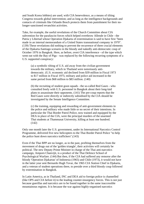and South Korea lobbies) are used, with CIA benevolence, as a means of tilting Congress towards global intervention; and as long as the intelligence backgrounds and contacts of criminals like Orlando Bosch protects them from punishment for their nolonger-sanctioned revanchist activities.

Take, for example, the useful revelations of the Church Committee about CIA subvention for the parafascist forces which helped overthrow Allende in Chile - the Patria y Libertad whose Operation Djakarta of extermination is said to have first "been made in an internal memorandum of a United States transnational company in 1970". (139) These revelations did nothing to prevent the recurrence of three crucial elements of the Djakarta-Santiago scenario in the bloody and nakedly anti-democratic coup of October 1976 in Bangkok. Here, as before, overt CIA interference - of the type which went out with the Bay of Pigs - was replaced by the following recurring symptoms of a U.S. supported conspiracy:

(a) a symbolic tilting of U.S. aid away from the civilian government towards the military, which in Thailand were notoriously antidemocratic. (U.S. economic aid declined from \$39 million in Fiscal 1973 to \$17 million in Fiscal 1975; military and police aid increased in the same period from \$68 million to \$83 million. (140)

(b) the recruiting of student goon squads - the so-called Red Gaurs - who consulted freely with U.S. personnel in Bangkok about their long-laid plans to assassinate their opponents. (141) The pre-coup reports that the Red Gaurs were directly or indirectly subsidised by the CIA should be investigated by the Senate Intelligence Committee.

(c) the training, equipping and rewarding of anti-government elements in the police and military who made little or no secret of their intentions. In particular the Thai Border Patrol Police, now trained and equipped by the DEA in place of the CIA, were the principal murders of the unarmed Thai students at Thammasat University, killing at least one hundred. (142)

Only one month later the U.S. government, under its International Narcotics Control Programme, delivered five new helicopters to the Thai Border Patrol Police "to help the police hunt down narcotics traffickers".(143)

Even if the Thai BPP are no longer, as in the past, profiting themselves from the movement of drugs out of the 'golden triangle', their activities will certainly be political. The new Deputy Prime Minister in charge of the Thai anti-narcotics campaign, Amporn Chanvijit, is a product of the Thai Defence School of Psychological Warfare. (144) But then, if the CIA had suffered any remorse after the bloody 'Operation Djakartas' of Indonesia (1965) and Chile (1973), it would not have in the latter year sent Bernardo Hugh Tovar, the 1965 CIA Station Chief in Djakarta, and a veteran of student operations there, to preside over a third bloody coup followed by extermination in Bangkok.

In Latin America, as in Thailand, INC and DEA aid to foreign police is channelled (like OPS and CIA before it) to the leading counter-insurgency forces. This is not just because guerillas and narcotics are to be found together in the same inaccessible mountainous regions. It is because the war against highly-organised narcotics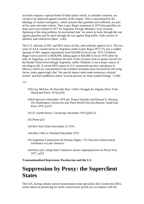activities requires a special breed of killer-police which, in unstable countries, are certain to be deployed against enemies of the regime. This is rationalised by the ideology of counter-insurgency, which assumes that guerillas and traffickers are part of the same anti-state culture. Thus Lopez Rega's statement in 1974 that guerillas are dope users was echoed in 1977 by Argentine Foreign Minister Cesar Guzzetti. Speaking of the drug problem, he proclaimed that "we attack its body through the war against guerillas and its spirit through the war against drug traffic, both carriers of nihilistic and collectivist ideas". (145)

The U.S. officials of INC and DEA know all this, and evidently approve of it. The two years of AAA counter-terror in Argentina under Lopez Rega (1973-75) saw a sudden upsurge of INC support expenditure from \$20,000 in fiscal year 1972-74 (before Rega's rise to power) to \$428,000, falling again to \$20,000 in fiscal 1976 (after his fall). In Argentina, as in Thailand, the bulk of this increase went to spotter aircraft for the Border Patrol (even though Argentina, unlike Thailand, is not a major source of any drug at all). A recent DEA report on U.S.-sponsored narcotics operations in Mexico, which are concentrated in the northern mountain areas favoured by left-wing forces, notes approvingly that "the special impact units made numerous criminal arrests" and that roadblocks netted "several persons on 'most wanted listings' ".(146)

\*\*\*

- 139.Gary McEoin, *No Peaceful Way: Chile's Struggle for Dignity* (New York, Sheed and Ward, 1974) p165
- 140.*Progressive* December 1976 p6; Noam Chomsky and Edward S. Herman, *The Washington Connection and Third World Fascism* (Boston, South End Press 1979, p227)
- 141.D. Gareth Porter, *Counterspy* December 1976 pp50-52

142.Porter p52

- 143.*New York Times* December 23 1976
- 144.*Who's Who in Thailand* December 1976
- 145.Argentine Commission for Human Rights, "US Narcotics Enforcement Assistance to Latin America".
- 146.Klare p32, citing State Commerce Justice Appropriations for Fiscal Year 1977, p233

**Transnationalised Repression; Parafascism and the U.S.**

## **Suppression by Proxy: the Superclient States**

The CIA, having already moved assassination-coup specialists like Conein into DEA, seems intent on preserving for itself a much lower profile (in accordance with the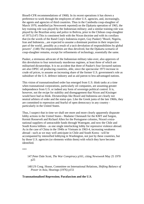Bissell-CFR recommendations of 1968). In its recent operations it has shown a preference to work through the employees of other U.S. agencies, and, increasingly, the agents and agencies of third countries. Thus in the Cambodia coup-slaughter of March 1970, modelled (as Newsweek reported) on the Djakarta operation of 1965, the key training role was played by the Indonesian military; and a similar training role was played by the Brazilian army and police in Bolivia, prior to the Chilean coup-slaughter of 1973.(147) This is consistent both with the Nixon doctrine and with its corollary that (in the words of the Rand Corp's Indonesia expert, Guy Pauker) "Brazil, Nigeria, Iran and Indonesia....are expected to assume a dominant position in their respective part of the world...possibly as a result of a tacit devolution of responsibilities by global powers". (148) The responsibilities are thus devolved, but the Djakarta scenario of coup-slaughter remains, except for refinements of technology, essentially the same.

Pauker, a strenuous advocate of the Indonesian military take-over, also approves of this devolution to four notoriously murderous regimes, at least three of which are militarised dictatorships. It is no accident that three of Pauker's four favoured nations are also OPEC oil producing countries, able, since the spectacular 1973 increase in crude oil prices, to assume an increasing share of the former U.S. government's role as subsidiser of the U.S. defence industry and as aid patron to less-advantaged nations.

This vision of transnationalised order has emerged from U.S. think tanks at a time when transnational corporations, particularly oil companies, are assuming greater independence from U.S. or indeed any form of sovereign political control. It is, however, not the recipe for stability and disengagement that Nixon and Kissinger would have had us think. Dictatorships like Brazil and Indonesia are clearly not neutral arbiters of order and the status quo. Like the Greek junta of the late 1960s, they are committed to repression and fearful of open democracy in any country particularly in the United States.

Thus, I suspect that in time we shall see more and more clearly apparently disparate lobby actions in the United States - Madame Chennault for the KMT and Saigon, Kermit Roosevelt and Richard Allen for the Portuguese colonies, Nixon's extranational suppliers of untraceable funds through Watergate, and now the Chile and South Korea lobbies - as one single interlocking lobby for repressive violence abroad. As in the case of China in the 1940s or Vietnam in 1963-4, increasing weakness abroad - such as we may well anticipate in Chile and South Korea - will be accompanied by intensified lobbying in Washington, not just by these countries, but by those U.S. agencies (or elements within them) with which they have become identified.

\*\*\*

- 147.Peter Dale Scott, *The War Conspiracy* p161, citing *Newsweek* May 25 1970 p25
- 148.US Cong. House, Committee on International Relations, *Shifting Balance of Power in Asia*, Hearings (1976) p151

### **Transnationalised Repression; Parafascism and the U.S.**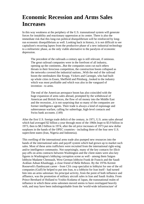# **Economic Recession and Arms Sales Increases**

In this way weakness at the periphery of the U.S. transnational system will generate forces for instability and reactionary oppression at its centre. There is also the immediate risk that this long-run political disequilibrium will be reinforced by longrun economic disequilibrium as well. Looking back in history, it is not difficult to see capitalism's recurring lapses from the productive phase of a new industrial technology to a militaristic phase, as the only viable alternative to the paralysis of economic depression.

The precedent of the railroads a century ago is still relevant, if ominous. The great railroad companies were in the forefront of all industry, opening up the continents...But the companies soon cut each others throats in their ferocious competition, the construction boom collapsed as the networks covered the industrial nations...With the end of the railroad boom the steelmakers like Krupp, Vickers and Carnegie, who had built up whole cities in Essen, Sheffield and Pittsburg...looked to the industry which was most profitable and which was also in the vanguard of invention - to arms.

The end of the American aerospace boom has also coincided with the huge expansion of arms sales abroad, prompted by the withdrawal of American and British forces, the flow of oil money into the Middle East and the recession...it is not surprising that so many of the companies are former intelligence agents. Their trade is always a kind of espionage and subterranean warfare, calling for subterfuge, high-level contacts and Swiss bank accounts. (149)

After the first U.S. foreign trade deficit of the century, in 1971, U.S. arms sales abroad which had averaged \$2 billion a year through most of the 1960s leapt to \$3.9 billion in 1973, then to \$8.3 billion in 1974, after the oil price increases of 1973 put new dollar surpluses in the hands of the OPEC countries - including three of the four new U.S. superclient states (Iran, Nigeria and Indonesia).

This swelling of the international arms trade also pumped new resources into the hands of the international sales and payoff system which had grown up to market such sales. Most of these arms traffickers were recruited from the international right-wing and/or intelligence community. Not surprisingly, many of the key contacts for illicit pay-offs on arms contracts between Washington and the client states were also key figures in Washington's lobbying corruption scene as well - among them Saigon lobbyist Madame Chennault, West German lobbyist Frank de Francis and the Saudi Arabian Adnan Khashoggi, a close friend of Bebe Rebozo. By the 1970s Kermit Roosevelt's flamboyant career - from CIA coup specialist to lobbyist for one of the oil companies (Gulf) he helped to put into Iran, to a lobbyist for Iran itself - had turned him into an arms salesman: his principal activity, from the point of both influence and affluence, was the promotion of military aircraft sales in Iran and Saudi Arabia. From Prince Bernhard of Holland to Yoshio Kodama of Japan, the transnational realm of influence in which these arms salesmen moved seems to have overlapped heavily with, and may have been indistinguishable from the 'world-wide infrastructure' of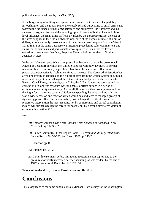political agents developed by the CIA. (150)

If the burgeoning of military aerospace sales fostered the influence of superlobbyists in Washington and the global scene, the closely related burgeoning of small arms sales fostered the influence of small arms salesmen and employers like Skorzeny and his successors, Aginter Press and the Paladingruppe. In terms of both dollars and highlevel influence, the small arms traffic is dwarfed by the aerospace traffic: the cost of the arms supplies in the whole Lebanese war, even at the highest estimate of a billion dollars, amounts to only one-twentieth of the estimated arms exports from the West in 1975.(151) But the same Lebanese war meant unprecedented sales commissions and status for the criminals and parafascists who exploited it - men like the French extortionist-mercenary Jean Kay, Stephane Zanettaci of the neo-fascist 'Action Jeunesse'. (152)

In the post-Vietnam, post-Watergate, post-oil embargo era of wars by proxy (such as Angola or Lebanon), in which the United States has willingly devolved its former responsibility to reactionary superclients like Iran, the status and influence of parafascist mercenaries is likely to continue to increase. The Carter administration has acted unilaterally to cut back on the export of arms from the United States; and, much more cautiously, it has challenged the interventionist lobby over such issues as the Panama Canal Treaty, human rights in Chile, the CIA's clandestine services and the corruption of Congress by South Korean agents. Carter's options in a period of economic uncertainty are not easy. Above all, if he resists the current pressures from the Right for a major increase in U.S. defence spending, he risks the kind of major world-wide recession and reaction which would be conducive to the rapid growth of right-wing power. But if he is successfully to challenge the political forces for repressive intervention, he must respond, not by compromise and partial capitulation (which will further weaken the forces for peace), but by a strong alternative vision of economic innovation. (153)

\*\*\*

- 149.Anthony Sampson *The Arms Bazaar; From Lebanon to Lockheed* (New York, Viking 1977) p328
- 150.Church Committee, Final Report Book 1, *Foreign and Military Intelligence*, Senate Report No 94-755, 2nd Seas. (1976) pp146-7
- 151.Sampson pp30-31
- 152.Burchett pp155-58
- 153.Carter, like so many before him facing recession, soon capitulated to the pressures for vastly increased defence spending, as was evident by the end of 1977; cf *Newsweek* December 12 1977 p31.

**Transnationalised Repression; Parafascism and the U.S.**

# **Conclusions**

This essay leads to the same conclusions as Michael Klare's study for the Washington-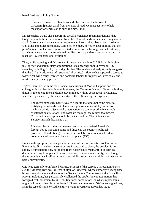based Institute of Policy Studies:

if we are to protect our freedoms and liberties from the inflow of barbarism [parafascism] from dictators abroad, we must act now to halt the export of repression to such regimes. (154)

My researches would also support his specific legislative recommendations: that Congress should limit International Narcotics Control funds to their stated objectives, and U.S. technical assistance to military-police dictatorships, clamp down further on U.S. arms and police technology sales etc.. We must, however, keep in mind that the post-Vietnam era had seen unprecedented numbers of such Congressional restraints, and simultaneously an unprecedented proliferation of parafascist activity beyond the reach of U.S. congressional oversight.

Thus, while agreeing with Klare's call for new hearings into CIA links with foreign intelligence and paramilitary organisations (such hearings should cover all U.S. agencies, including DEA), I would go further. The evidence already strongly suggests that the CIA's 'world-wide infrastructure' of political influence has repeatedly served to foster right-wing coups, foreign and domestic lobbies for repression, arms sales, and, most recently, wars by proxy.

I agree, therefore, with the more radical conclusions of Morton Halperin and his colleagues in another Washington think tank, the Centre for National Security Studies, that it is time to end the clandestine government, with its consequent lawlessness, which is represented by the secret charter of the U.S. intelligence agencies

The recent exposures have revealed a reality that does not come close to justifying the wounds that clandestine government inevitably inflicts on the body politic ... Spies and covert action are counterproductive as tools of international relations. The costs are too high; the returns too meagre. Covert action and spies should be banned and the CIA's Clandestine Services Branch disbanded .......

It is now clear that the lawlessness that has characterised America's foreign policy has come home and threatens the country's political process .... Clandestine government accountable to no-one must end; a government of laws must be put in its place. (155)

But even this proposal, which goes to the heart of the bureaucratic problem, is not likely by itself to lead to any solution. As I have tried to show, the problem is not simply a bureaucratic one, but rooted (particularly since Vietnam) in underlying dilemmas arising from perceptions of economic crisis and uncertainty, even though this economic crisis itself grows out of social distortions whose origins are themselves partly bureaucratic.

One need turn only to informed Marxist critiques of the current U.S. economic crisis e.g. the Monthly Review. Professor Gilpin of Princeton, whose authority is recognised by such establishment audiences as the Senate Labour Committee and the Council on Foreign Relations, has persuasively challenged the establishment assumption that foreign direct investment by U.S. multinational corporations, or what simpler souls might call imperialism, is in the larger U.S. national interest. (156) He has argued that, as in the case of Rome or 19th century Britain, investment abroad has led to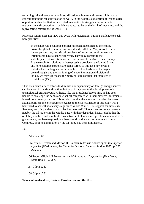technological and hence economic stultification at home (with, some might add, a concomitant political stultification as well). In the past this exhaustion of technological opportunities has led first to intensified mercantilistic struggle - i.e. economic nationalism and competition - which we appear to be on the brink of repeating, and the rejuvenating catastrophe of war. (157)

Professor Gilpin does not view this cycle with resignation, but as a challenge to seek new priorities:

In the short run, economic conflict has been intensified by the energy crisis, the global recession, and world wide inflation. Yet, viewed from a longer perspective, the critical problems of resources, environment and inflation can have a beneficial effect. They may constitute the 'catastrophe' that will stimulate a rejuvenation of the American economy. In the search for solutions to these pressing problems, the United States and her economic partners are being forced to initiate a new order of industrial technology and economic life. If this leads to technological breakthroughs and the fashioning of a new international division of labour, we may yet escape the mercantilistic conflict that threatens to overtake us.(158)

Thus President Carter's efforts to diminish our dependency on foreign energy sources can be a step in the right direction, but only if they lead to the development of a technological breakthrough. Hitherto, like the presidents before him, he has been unable to challenge the banks and giant oil companies with their massive investments in traditional energy sources. It is at this point that the economic problem becomes again a political one, of extreme relevance to the subject matter of this essay. For I have tried to show that at every stage since World War 2, U.S. support for Nazis like Skorzeny and his parafascist disciples has involved U.S. overseas corporate interests, notably the oil majors in the Middle East with their dependent hosts. I doubt that the oil lobby can be resisted until its own network of clandestine operations, or clandestine government, has been exposed; and here one should not expect too much from a Congress, until its domination by the oil lobby had been diminished.

\*\*\*

154.Klare p66

155.Jerry J. Berman and Morton H. Halperin (eds) *The Abuses of the Intelligence Agencies* (Washington, the Center for National Security Studies 1975) pp257, 263, 279

156.Robert Gilpin *US Power and the Multinational Corporation* (New York, Basic Books 1975) p7

157.Gilpin p260

158.Gilpin p261

### **Transnationalised Repression; Parafascism and the U.S.**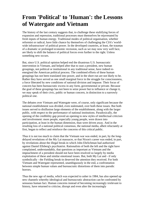# **From 'Political' to 'Human': the Lessons of Watergate and Vietnam**

The history of the last century suggests that, to challenge these stultifying forces of expansion and repression, traditional processes must themselves be rejuvenated by fresh inputs of human energy. Traditional modes of political organisation, whether reformist or radical, have little chance by themselves of challenging the CIA's 'worldwide infrastructure' of political power. In the developed countries, at least, the traumas of a dramatic or prolonged economic recession, such as we may now very well face, are likely to shift the balance of political forces even further to the right. Unless something new occurs.

But, since U.S. political opinion helped end the disastrous U.S. bureaucratic intervention in Vietnam, and helped after that to oust a president, new human groupings, not political or institutional in any traditional sense, have indeed reenergised the American political process. The combined efforts of these human groupings has not been translated into power, and in the short run are not likely to be. Rather they have served as one small marginal force in the struggle for consciousness, a force liberated by new conditions of national division and impasse. Their focus of concern has been bureaucratic excess in any form, governmental or private. Because the goal of these groupings has not been to seize power but to influence or change it, we may speak of their civic, public or human concern, in distinction to a narrowly political one.

The debates over Vietnam and Watergate were, of course, only significant because the national establishment was divided, even stalemated, over both these issues. But both issues served to disillusion large elements of the establishment, along with the larger public, with respect to the performance of national institutions. Paradoxically, the opening of the credibility gap proved an opening to new styles of intellectual criticism and involvement: more people, especially young people, were drawn into participation, at least in the human dimension, than were driven away. And in the resulting loss of a national political consensus, the national media, albeit reluctantly at first, began to reflect and reinforce the concerns of this critical public.

Thus it is not too much to claim that the Vietnam war was ended, in part, by the longdelayed revelations of the My Lai massacre, or that Nixon's career was ended, in part, by revelations about the illegal break-in which John Ehrlichman had authorised against Daniel Ellsberg's psychiatrist. Rationalists of both the left and the right have complained, understandably, that questions as important as Vietnam and the impeachment of a president should not have been resolved so largely by media exploitation of these and similar emotional issues. But, both My Lai and - if only symbolically - the Fielding break-in deserved the attention they received. For both Vietnam and Watergate represented, unambiguously in the end, a confrontation between simple human values and bureaucratic distortions of them into parodic horrors.

Thus the new age of media, which was expected to usher in 1984, has also opened up new channels whereby ideological and bureaucratic abstraction can be confronted by sensuous human fact. Human concerns instead of becoming increasingly irrelevant to history, have returned to criticise, disrupt and even alter the increasingly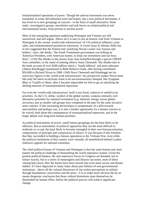institutionalised operations of power. Though the antiwar movement was never translated, as some old-fashioned souls had hoped, into a new political movement, it has lived on in new groupings of concern - in the form of small alternative 'think tanks', investigative groups, newsletters and task forces on related political and environmental issues, from prisons to nuclear power.

Most of the energising questions underlying Watergate and Vietnam are still unresolved, and still urgent. Above all it is easy to see an historic trail from Vietnam to Watergate in the current 'world-wide infrastructure' of CIA political influence, arms sales, and institutionalised parafascist repression. A recent essay by Renata Adler has in fact suggested that the 'bottom line' justifying Nixon's ouster was 'treason and bribery', since, she thinks, "the South Vietnamese government was bribing an American President, with American money, to keep our investment and our boys there". (159) She alludes to the money from Asia funnelled through a special CREEP Asia committee, in the name of (among others) Anna Chennault. She alludes also to the bank account of over \$200 million which a "Saudi lobbyist" and arms salesman (Adnan Khashoggi) maintained in Bebe Rebozo's bank, after having contributed \$50,000 to Richard Nixon in 1968. (160) Since Chennault and Khashoggi are (or were) key figures in the 'world-wide infrastructure', her perspective makes Nixon seem like only the latest recalcitrant client to be unceremoniously dumped, like Syngman Rhee or Trujillo or Diem, after it became impossible for him to go on satisfying the shifting interests of transnationalised repression.

For even the 'world-wide infrastructure' itself is not fixed, cohesive or settled in its priorities. As the U.S. dollar, symbol of the global system, weakens intensely over alternative priorities for national investment (e.g. domestic energy versus global sercurity), just as smaller sub-groups have competed in the past for the same lucrative arms contract. If this increasing devisiveness is symptomatic of a drift towards mercantilism and perhaps war, it is also a further opportunity for a human concern to be voiced, both about the consequences of transnationalised repression, and in the larger debate over long-term human priorities.

As political instruments of power, small human groupings are the least likely to be effective. But as instruments of political opposition they are the most difficult to eradicate or co-opt, the least likely to become entangled in their own bureaucratisation, compromises of principle and conspiracies of silence. It was because of this freedom that they succeeded in building a human opposition to the Vietnam War, even while the political institutions of this country were virtually all immobilised behind Lyndon Johnson's appeals for national consensus.

The chief political lesson of Vietnam and Watergate is that the same human task must inspire the political challenge of dismantling the world repressive system. Given the present political balance, the anti-repressive forces in Congress are doomed, not to failure exactly, but to a series of meaningless and illusory successes, most of them closing barn doors after the horses have been moved into even more secure and distant stables. If I have digressed so many times about past failures of non-governmental institutions - above all the cultural distortions of our reality-perceptions as refined through foundations, universities and the press - it is to make more obvious the by no means desperate conclusion that those cultural distortions must themselves be diminished by human effort, before the political process will achieve significant change.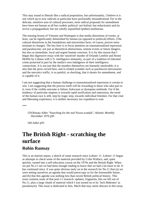This may sound to liberals like a radical proposition, but unfortunately, I believe it is one which up to now radicals in particular have profoundly misunderstood. For in the delicate, sensitive area of cultural processes, most radical proposals for amendment have been not human at all but crudely political: not holistic but reductionist and (to revive a propagandistic but not wholly unjustified epithet) totalitarian.

The ensuing lesson of Vietnam and Watergate is that media distortions of events, at least, can be significantly diminished by human (as opposed to political) efforts. (The cultural distortions in the foundations and universities have, of course, proven more resistant to change). The key here is to focus attention on transnationalised repression and parafascism, not just as theoretical abstractions, remote events or future dangers, but also as immediate, local and urgent human concerns. It is for this reason that I began this digressive essay with the 'unsolved' murder of Orlando Letelier and Ronni Moffitt by Cubans with U.S. intelligence immunity, as part of a tradition of tolerated crime protected in part by the media's own indulgence of their intelligence connections. It is not just that the murders themselves are humanly intolerable; it is also that the press record here, and in related scandals such as parafascist mercenaries and the narcotics traffic, is so painful, so shocking, that it shouts for amendment, and is capable of it.

I am not suggesting that a human challenge to transnationalised repression is certain to win. I am suggesting that the process itself will be rewarding to those who take part in it, even if the visible outcome is failure, holocaust or dystopian stultitude. For if the tendency of particular empires is towards rapid ossification and repression, the trend of the human race is still, step by tragic step, towards individual freedom. For that vital and liberating experience, it is neither necessary nor expedient to wait.

\*\*\*

159.Renata Adler "Searching for the real Nixon scandal", *Atlantic Monthly* December 1976 p95

160.Adler p93

### **The British Right - scratching the surface Robin Ramsay**

This is an interim report, a sketch of some research since *Lobster* 11. *Lobster 11* began as attempts to check some of the material provided by Colin Wallace, and, quite quickly, turned into a self-education course on the 1970s and the British Right. When we put No.11 out we had done enough reading to know that we had a lot more to do. It has continued since. It was quite obvious early on in the research for No.11 that (a) we were setting ourselves an agenda that would preoccupy us for the foreseeable future, and (b) that this agenda was nothing less than recent British political history. This issue contains some of that post-11 research: updates, fragments, bits we left out of No.11, plus a large chunk of material which I was turned on to by 'Jack Mahoney' (a pseudonym). This issue is dedicated to him. Much that may seem obscure in this essay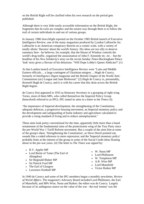on the British Right will be clarified when his own research on the period gets published.

Although there is very little easily accessible information on the British Right, the fragments that do exist are complex and the easiest way through them is to follow the trail of certain individuals in and out of various groups.

In January 1986 *Searchlight* reported on the October 1985 British launch of Executive Intelligence Review, one of the many magazines produced by Lyndon LaRouche Jnr. LaRouche is an American conspiracy theorist on a cosmic scale, with a variety of totally idiotic 'theories' about the world's history. His ideas are too silly to deserve summary here - he believes, for example, that the House of Windsor controls the world's drug traffic, organised the assassination of John F. Kennedy etc. etc. - but the headline of his *New Solidarity*'s story on the recent *Sunday Times*-Buckingham Palace 'leak' story gives a flavour of his delusions: "Will Dope Lobby's Queen Abdicate?".(1)

At that London launch of Executive Intelligence Review were "Latin and Middle Eastern officials ... a large contingent of Ukrainian emigres ... Hugh de Courcy, formerly of *Intelligence Digest* magazine and the British Chapter of the World Anti-Communism (sic) League and Jane Birdwood." (2) *Hugh* de Courcy is, presumably, *Kenneth* Hugh de Courcy, and it is with his career that this skim across the British Right begins.

de Courcy first appeared in 1933 as Honorary Secretary to a grouping of right-wing Tories, most of them MPs, who called themselves the Imperial Policy Group (henceforth referred to as IPG). IPG stated its aims in a letter to the *Times* (3):

"the importance of Imperial development, the strengthening of the Constitution, adequate defences, a progressive housing movement, an Imperial monetary policy and the development and safeguarding of home industry and agriculture calculated to provide a rising standard of living and to reduce unemployment."

These aims look pretty conventional for the time, apparently little more than a banal restatement of the fundamental aims of the protectionist wing of the Tory Party since the pre-World War 1 Tariff Reform movement. But a couple of the aims hint at some of the group's ideas. 'Strengthening the Constitution', as Steve Dorril pointed out, sounds like a coded reference to more repression; and the 'Imperial monetary policy' probably hints at the interest of the group in some of the Social Credit ideas floating about in the pre-war years. (4) The letter to *The Times* was signed by:

- R.V. Applin MP
- Lord Bertie of Tame (The Earl of Abingdon)
- Sir Reginald Blaker MP
- Sir Patrick Ford MP
- The Earl of Glasgow
- Lawrence Kimball MP
- W. Nunn MP
- Lord Phillimore
- W. Templeton MP
	- A.R. Wise MP
- Lord Mansfield
- Victor Raikes MP

In 1940 de Courcy and some of the IPG members began a monthly newsletter, *Review of World Affairs*. The magazine's Advisory Board included Lord Phillimore, the Earl of Mansfield, and MPs Wise, Nunn and Raikes: the editor was de Courcy. Largely because of its ambiguous stance on the value of the war - the real 'enemy' was the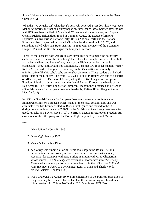Soviet Union - this newsletter was thought worthy of editorial comment in the News Chronicle.(5)

What the IPG actually *did*, what they *distinctively* believed, I just don't know yet. 'Jack Mahoney' informs me that de Courcy began an Intelligence News Service after the war with IPG members the Earl of Mansfield, W. Nunn and Victor Raikes, and Major-General Richard Hilton (later found in Common Cause, the League of Empire Loyalists, his own British Patriotic Party, British National Party and the National Front); was backing something called 'Christian Political Action' in 1947/8, and something called 'Christian Statesmanship' in 1949 with members of the Economic League, IPG and the British League for European Freedom.

These (to me) obscure post-war groups are introduced here to make the point very early that the activities of the British Right are at least as complex as those of the Left and, when visible - and like the Left, much of the Right's activities are semiclandestine - show similar kinds of continuities. Consider IPG founder member Victor Raikes MP, who died this year. His obituary in the *Times* (6) was extremely uninformative (like his Who's Who entries) but did remind *Times* readers that he had been Chair of the Monday Club from 1975-78. (7) In 1944 Raikes was one of a quartet of MPs who, with the Duchess of Atholl, set up the British League for European Freedom, initially to draw attention to the fate of Eastern Europe at the hands of the Red Army.(8) The British League for European Freedom then produced an off-shoot, a Scottish League for European Freedom, headed by Raikes' IPG colleague, the Earl of Mansfield. (9)

In 1950 the Scottish League for European Freedom sponsored a conference in Edinburgh of Eastern European exiles, many of them Nazi collaborators and war criminals, who had been recruited by British intelligence and moved to the U.K. during the scramble at the end of WW2 by the British and American governments for good, reliable, anti-Soviet 'assets'. (10) The British League for European Freedom still exists, one of the little groups on the British Right acquired by Donald Martin.

\*\*\*

- 1. *'New Solidarity'* July 28 1986
- 2. *Searchlight* January 1986
- 3. *Times* 24 December 1934
- 4. de Courcy was running a Social Credit bookshop in the 1930s. The link between interest in currency reform theories and fascism is widespread; in Australia, for example, with Eric Butler; in Britain with G. K. Chesterton, whose journal, *G.K.'s Weekly* was eventually incorporated into *The Weekly Review* which gave a platform to various fascists in the 1930s. See *Political Anti-Semitism Before 1914* by Kenneth Lunn in Lunn and Thurlow (eds) *British Fascism* (London 1980)
- 5. *News Chronicle* 12 August 1940. Some indication of the political orientation of the group may be indicated by the fact that this newscutting was found in a folder marked '5th Columnists' in the NCCL's archives: DCL Box 41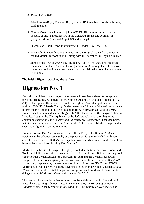- 6. *Times* 5 May 1986
- 7. Alan Lennox-Boyd, Viscount Boyd, another IPG member, was also a Monday Club member.
- 8. George Orwell was invited to join the BLEF. His letter of refusal, plus an account of one its meetings are in his Collected Essays and Journalism (Penguin edition): see vol.3 pp 368/9 and vol.4 p49

Duchess of Atholl, *Working Partnership* (London 1958) pp243-8

- 9. Mansfield, it is worth noting here, was on the original Council of the Society for Individual Freedom in 1944, along with IPG member Sir Reginald Blaker.
- 10.John Loftus, *The Belarus Secret* (London, 1983) p 165, 205. This has been remaindered in the UK and in kicking around for 30 or 40p. One of the most important books of recent years (which may explain why no notice was taken of it here).

### **The British Right - scratching the surface**

## **Digression No. 1**

Donald (Don) Martin is a protege of the veteran Australian anti-semite conspiracy theorist, Eric Butler. Although Butler set up his Australian League of Rights in 1960 (11), he had apparently been active on the far-right of Australian politics since the middle 1930s.(12) Like de Courcy, Butler began as a follower of the various currency reform theories around in the twenties and thirties. In 1962 or '63 - accounts vary - Butler visited Britain and had meetings with A.K. Chesterton of the League of Empire Loyalists (roughly the U.K. equivalent of Butler's group), and, according to the anonymous pamphlet *The Monday Club - A Danger to Democracy* (discussed below) with the late John Paul, at that time Chair of the Anti-Common Market League and a substantial figure in Tory Party circles.

Butler's protege, Don Martin, came to the U.K. in 1970, if the *Monday Club etc* version is to be believed, essentially as a replacement for the Butler link with Paul after the latter's death: "Butler's best hope here was lost when John Paul died..Paul has been replaced at a lower level by Don Martin."

Martin set up the British League of Rights, a book distribution company, Bloomfield Books which linked up with the veteran anti-semitic publishers, Britons, and acquired control of the British League for European Freedom and the British Housewives League. The latter was originally an anti-nationalisation front set up just after WW2 and funded, it appears, by the road transport lobby of the time.(13) From 1971-74 Martin's publications were regularly advertised in the Monday Club's Journal, *Monday World*. As head of the British League for European Freedom Martin became the U.K. delegate to the World Anti-Communist League (WACL).

The parallels between the anti-semitic/neo-fascist activities in the U.K. and those in Australia are strikingly demonstrated in Dennis Freney's *Nazis Out of Uniform: Dangers of Neo-Nazi Terrorism in Australia* (14) The mixture of overt racists and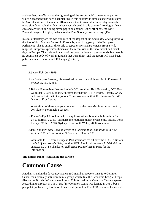anti-semites, neo-Nazis and the right-wing of the 'respectable' conservative parties which *Searchlight* has been documenting in this country, is almost exactly duplicated in Australia. (One of the major differences is that in Australia Butler plays a much more significant role than Martin has ever achieved in this country.) Analogous New Zealand activities, including seven pages on another Butler off-shoot, the New Zealand League of Rights, is discussed in Paul Spoonly's recent essay. (15).

In similar territory are the two volumes of the *Report of the Committee of Enquiry into the Rise of Fascism and Racism in Europe* by a working party of the European Parliament. This is an inch-thick pile of typed essays and statements from a wide range of European experts/politicians on the recent rise of the neo-fascist and racist right in Europe. The style and quality of the contributions vary enormously but there is no equivalent body of work in English that I can think (and the report will have been published in all the official EEC languages.) (16)

\*\*\*

- 11.*Searchlight* July 1979
- 12.on Butler, see Freeney, discussed below, and the article on him in *Patterns of Prejudice*, vol. 5, no.5
- 13.British Housewives League file in NCCL archives, Hull University; DCL Box 23, folder 3. 'Jack Mahoney' informs me that the BHL's leader, Dorothy Crisp, had fascist links with the journal *Tomorrow* and with A.K. Chesterton's 1945 'National Front' group.

What either of these groups amounted to by the time Martin acquired control, I don't know. Not much, I suspect.

- 14.Freney's 48p A4 booklet, with many illustrations, is available from him for £4.50 (airmail), £3.50 (seamail), international money orders only, please. Denis Freney, PO Box A716, Sydney, New South Wales, 2000, Australia.
- 15.Paul Spoonly, *New Zealand First: The Extreme Right and Politics in New Zealand* 1961-81 in *Political Science*, vol.33, no.2 1981.
- 16.Available FREE from European Parliament offices all over the EEC. In Britain that's 2 Queen Anne's Gate, London SW1. Ask for documents A-2-160/85 rev. annexes 1,2,3,4. (Thanks to *Intelligence/Parapolitics* in Paris for the information).

**The British Right - scratching the surface** 

### **Common Cause**

Another strand in the de Courcy and ex-IPG member network links it to Common Cause, the nominally anti-Communist group which, like the Economic League, keeps files on the British Left and the unions. (17) Information on Common Cause is sparse. According to a report in The *Times* (18) Common Cause was formed in 1951, but a pamphlet published by Common Cause, was put out in 1950.(19) Common Cause does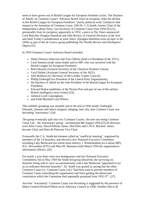seem to have grown out of British League for European Freedom circles. The Duchess of Atholl, on Common Cause's 'Advisory Board' from its inception, links the decline in the British League for European Freedom's "purely political work" (whatever that means) to the formation of Common Cause. (20) Dr. C.A.Smith, former Chair of the Independent Labour Party, was Secretary of Common Cause from 1954-56 (21), presumably from its inception, apparently in 1952: a piece in *The Times* announced Lord Malcolm Douglas-Hamilton and John Brown, ex-General Secretary of the Iron and Steel Trades Confederation as joint chairs. (Douglas-Hamilton turns up later in the 1950s as part of the de Courcy group publishing *The Weekly Review* and *Intelligence Digest*.(22)

In 1954 Common Cause's Advisory Board included:

- Dame Florence Hancock and Tom O'Brien (both ex Presidents of the TUC);
- Lord Ammon (trade union leader and ex-MP, who was involved with the British League for European Freedom);
- Bob Edwards (General Secretary of the Chemical Workers Union);
- Cecil Hallett (Assistant General Secretary of the AEU);
- John Raeburn (ex-Secretary of the London Trades Council);
- Phillip Fothergill (ex-President of the Liberal Party Organisation);
- the Duchess of Atholl (at the time President of the British league for European Freedom);
- Edward Hulton (publisher of the Picture Post and part of one of the earliest British intelligence news fronts) (23);
- Admiral Lord Cunningham;
- and Field Marshall Lord Wilson.

This unlikely grouping was unstable and at the end of 1956 Smith, Fothergill, Edwards, Ammon and others resigned, alleging, inter alia, that Common Cause was becoming "reactionary".(24)

The group eventually split into two 'Common Causes', the new one being Common Cause Ltd. - the 'reactionary' group - incorporated 8th August 1956.(25) Its directors were Peter Crane, David Pelman James, Neil Elles and C.W.S. Blackett. James became Chair and Peter de Peterson Vice Chair.

Eventually the C.A. Smith-led element called an "unofficial meeting", organised by members of the 14 branches, and elected a new National Executive Committee, including Lady Birdwood (on whom more below), I. Winterbotham (ex-Labour MP), H.G. Devonshire (ETU) and Miss M. Sharman (until March 1956 the organisation's information officer). (26)

For nearly a year there were two headquarters and two National Executive Committees, but in May 1959 the Smith-led group dissolved, the surviving six branches being told to carry on autonomously with Lady Birdwood "appointed to act as co-ordinator between branches". Dr. Smith was quoted as saying that the other Common Cause (i.e. Common Cause Ltd.) "had been used to prevent members of Common Cause controlling the organisation and from gaining the democratic constitution which the Committee had repeatedly promised from 1952-57". (27)

Just how "reactionary" Common Cause was becoming is suggested by the presence of Major-General Richard Hilton on its Advisory Council in 1958. Another link to de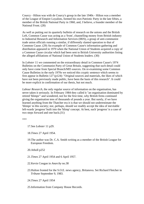Courcy - Hilton was with de Courcy's group in the late 1940s - Hilton was a member of the League of Empire Loyalists, formed his own Patriotic Party in the late fifties, a member of the British National Party in 1960, and, I believe, a founder member of the National Front. (28)

As well as putting out its quarterly bulletin of research on the unions and the British Left, Common Cause was acting as a 'front', channelling money from British industry to Industrial Research and Information Services (IRIS), a group of anti-communist trade union officials running a similar, if differently slanted operation to that of Common Cause. (29) An example of Common Cause's information gathering and distribution appeared in 1970 when the National Union of Students acquired a copy of a Common Cause circular which had been sent to British University authorities listing the alleged affiliations of National Union of Students leaders. (30)

In *Lobster* 11 we commented on the extraordinary detail in Common Cause's 1974 Bulletins on the Communist Party of Great Britain, suggesting that such detail could only have come from Special Branch/MI5 sources. On re-examining some Common Cause Bulletins in the early 1970s we noticed this cryptic sentence which seems to first appear in Bulletin 127 (p124): "Original sources and materials, the likes of which have not been previously made public, have been the basis of this research". It could be more explicit in confirmation of our thesis, but not much.

*Labour Research*, the only regular source of information on the organisation, has never taken it seriously. In February 1984 they called it "an organisation dominated by retired 'blimps"' and wondered, not for the first time, why British firms continued giving the organisation tens of thousands of pounds a year. But surely, if we have learned anything from the Thatcher era it is that we should not underestimate the 'blimps' in this society; nor, perhaps, should we readily accept the idea of inevitable left-wards 'progress' built into the 'blimp' concept. At best, such 'progress' is a case of two steps forward and one back.(31)

\*\*\*

17.See *Lobster* 11 p29.

18.*Times* 27 April 1954.

19.The author was Dr. C.A. Smith writing as a member of the British League for European Freedom.

20.Atholl p252

21.*Times* 27 April 1954 and 6 April 1957.

22.Kevin Coogan in *Anarchy* no.38

- 23.Hulton fronted for the S.O.E. news agency, Britanova. Set Richard Fletcher in *Tribune* September 9, 1983.
- 24.*Times* 27 April 1954
- 25.Information from Company House Records.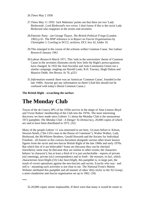- 26.*Times* May 2 1958
- 27.*Times* May 11 1959. 'Jack Mahoney' points out that there are two 'Lady Birdwoods', Lord Birdwood's two wives. I don't know if this is the racist Lady Birdwood who reappears in the sixties and seventies
- 28.Patriotic Party see George Thayer, *The British Political Fringe* (London 1965) p 61. The BNP reference is in *Report on Fascist Organisations* by Christopher J. Cowling in NCCL archives, DCL box 42, folder 10.
- 29.This emerged in the course of the schisms within Common Cause. See *Labour Research* January 1961
- 30.*Labour Research* March 1971. This 'reds in the universities' theme of Common Cause in the seventies illustrates nicely how little the Right's preoccupations have changed. In 1932 the Anti-Socialist and Anti-Communist Union ran a similar campaign, singling out Harold Laski, R.H. Tawney, Hugh Dalton and Maurice Dobb. See Brown, fn 76, p253
- 31.*Information wanted*: there was an American 'Common Cause', founded in the late 1940s. Anyone got any information on them? (And this should not be confused with today's liberal Common Cause.)

### **The British Right - scratching the surface**

# **The Monday Club**

Traces of the de Courcy-IPG of the 1930s survive in the shape of Alan Lennox-Boyd and Victor Raikes' membership of the Club into the 1970s. The most interesting discovery we have made since *Lobster* 11 about the Monday Club is the anonymous 1972 pamphlet, *The Monday Club - A Danger To Democracy*, 20,000 copies of which are said to have been distributed in 1972. (32)

Many of the people *Lobster* 11 was interested in are here, 14 years before it: Kitson, Stewart-Smith, ("the CIA's man in the House of Commons"), Walter Walker, Lady Birdwood, the McWhirter Brothers, Gerald Howarth and the Society for Individual Freedom - all feature in this curious document alongside various other lesser known figures from the racist and neo-fascist British Right of the late 1960s and early 1970s. But which bits of it are believable? Some are (because they can be checked elsewhere); some may be (because they are similar to other events; the characters behave 'in character'); but at least a third of it is just uncheckable - reports of private (sic) meetings, private (sic) correspondence and so forth - the mixture, in fact, which characterises *Searchlight*.(33) Like *Searchlight*, this pamphlet is, in large part, the result of covert operations against the neo-fascists and racists. Exactly who was - and still is - mounting such activities is not clear to me. The National Front's Martin Webster attributed this pamphlet and all manner of other 'dirty tricks' to the '62 Group', a semi-clandestine anti-fascist organisation set up in 1962. (34)

\*\*\*

32.20,000 copies seems implausible, If there were that many it would be easier to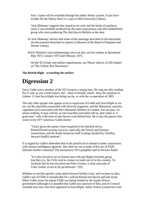find. Copies will be available through the public library system. If you have trouble tell the library there is a copy in Hull University's library.

'Jack Mahoney' suggests that, based on its style and the kinds of typefaces used, it was probably produced by the same (anonymous and still unidentified) group who were producing The *Anti-fascist Bulletin* at the time.

- 33.'Jack Mahoney' advises that some of the meetings described in this document are documented elsewhere in reports in libraries of the Board of Deputies and Weiner Library.
- 34.For Webster's (not uninteresting) views on this, see his column in *Spearhead* May 1973, January 1975 and February 1975.

On the '62 Group' and similar organisations, see *Thayer* (above, fn 28) chapter on 'The Yellow Star Movement'.

### **The British Right - scratching the surface**

# **Digression 2**

Gerry Gable was a member of the '62 Group'as a young man. He rang me after reading No.11 and, as you would expect, did - when eventually asked - deny the assertion in *Lobster* 11 that *Searchlight* was being run by, or with the co-operation of, MI5.

The only other people who appear to be as suspicious of Gable and *Searchlight* as we are, are the anarchists associated with *Anarchy* magazine, and the libertarian, anarchocapitalists (sic) associated with the Libertarian Alliance in London. For our part, we retract nothing. It may well be, as one *Guardian* journalist told us, that Gable is "a great man" with a life-time of anti-fascist work behind him. He is also the person who wrote in the 1977 notorious 'Gable memo':

"I have given the names I have acquired to be checked out by British/French security services, especially the French and German connections, and the South American stuff is being checked by Geoffrey Stewart-Smith's institute".

It is argued by Gable's defenders that in his position he is bound to make connections with various intelligence agencies. But what are we to make of his use of FARI (Stewart-Smith's institute)? The anonymous 1972 pamphlet said of Stewart-Smith:

"It is also his job to act as liaison man with any Right extremist group that they (i.e. the CIA) wish to contact or make use of in this country. To facilitate this he has recruited one Peter Crozier, a close associate of Colin Jordan, to act as his go-between." (35)

Whether or not this specific claim about Stewart-Smith is true, and we have no idea, Gable's use of FARI is inexplicable for a self-professed anti-fascist and anti-racist. When Gable wrote his memo FARI was being funded by the South African government (although it is possible that Gable was unaware of this), and its Council included four men who have appeared in *Searchlight*: Julian Amery (connection with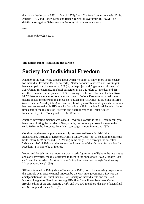the Italian fascist party, MSI, in March 1979), Lord Chalfont (connections with Chile, August 1979), and Robert Moss and Brian Crozier (all over issue 18, 1975). The detailed case against Gable made in *Anarchy* 36 remains unanswered.

\*\*\*

35.*Monday Club* etc p7

**The British Right - scratching the surface** 

### **Society for Individual Freedom**

Another of the right-wing groups about which we ought to know more is the Society for Individual Freedom (SIF henceforth). Neither *Labour Research* nor *Searchlight* have ever paid much attention to SIF (or, perhaps, just didn't get much information). *Searchlight*, for example, in a brief paragraph in No.31, refers to "the dear old SIF", and then remarks on the presence of G.K. Young as a former chair and the late Ross McWhirter as a member of its executive council. *Labour Research* provided some details on SIF membership in a piece on "Powell and His Allies" (36), citing 35 MPs (more than the Monday Club) as members; Lord Lyle (of Tate and Lyle) whose family has been connected with SIF since its formation in 1944; the late Lord Renwick (onetime chair of the Institute of Directors and board member of British United Industrialists); G.K. Young and Ross McWhirter.

Another interesting member was Gerald Howarth. Howarth is the MP said recently to have been plotting the murder of Gerry Gable, but for our purposes his role in the early 1970s in the Prosecute Peter Hain campaign is more interesting. (37)

Considering the overlapping memberships represented here - British United Industrialists, Institute of Directors, Aims, Monday Club - not to mention the intricate trails left by McWhirter and G.K. Young in the early 1970s through the so-called 'private armies' of 1974 and thence into the formation of the National Association for Freedom - SIF has to be of interest.

Young and McWhirter are important cross-roads figures on the Right in the late sixties and early seventies, the role attributed to them in the anonymous 1972 *'Monday Club* etc.' pamphlet in which McWhirter was "a key fund raiser on the right" and Young "fixer extraordinary". (38)

SIF was founded in 1944 (Aims of Industry in 1942), both of them being responses to the controls over private capital imposed by the war-time government. SIF was the amalgamation of Sir Ernest Benn's 1942 Society of Individualists and the 1943 National League for Freedom. Among SIF's first Council members were Colin Brooks, editor of the anti-Semitic *Truth*, and two IPG members, the Earl of Mansfield and Sir Reginald Blaker MP. (39)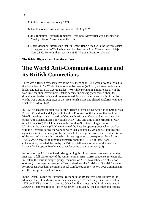36.*Labour Research* February 1969

37.Gordon Winter *Inside Boss* (London 1981) pp382/3

- 38.It is rumoured strongly rumoured that Ross McWhirter was a member of Mosley's Union Movement in the 1950s.
- 39.'Jack Mahoney' informs me that Sir Ernest Benn flirted with the British fascist fringe just after WW2 having been involved with A.K. Chesterton and Maj-Gen. J.F.C. Fuller in their abortive 1945 'National Front for Victory'.

### **The British Right - scratching the surface**

### **The World Anti-Communist League and its British Connections**

There was a British representative at the first meeting in 1958 which eventually led to the formation of The World Anti-Communist League (WACL), a former trade union leader and Labour MP, George Dallas. (40) While serving in a minor capacity in the war-time coalition government, Dallas became increasingly concerned about the direction of Soviet policy and came to regard Poland as a test case of this. After the war he was a strong supporter of the 'Free Polish' cause and shared platforms with the Duchess of Atholl.(41)

In 1956 he became the first chair of the Friends of Free China Association (Atholl was President), and took a delegation to the then Formosa. With Dallas at that first pre-WACL meeting, as well as a trio of German Nazis, was Yaroslav Stetzko, then chair of the Anti-Bolshevik Bloc of Nations (ABN), and one-time Prime Minister of wartime Ukraine.(42) The Ukrainians in the Bandera/Stetzko-led Organisation of Ukrainian Nationalists (OUN) were one of the East European groups which worked with the Germans during the war and were then adopted by US and UK intelligence agencies after it. That many of the personnel of these groups were war criminals is one of the areas of post-war history which is just beginning to be explored. John Loftus' *The Belarus Secret* (43) although primarily about the US use of these Nazicollaborators, revealed the use by the British intelligence services of the Scottish League for European Freedom as cover for some of these groups. (44)

Information on ABN, the Stetzko-led grouping, is thin at present: we await even the first step, a full-scale study of the ABN's journal, ABN Correspondence, for example. In Britain the various emigre groups, members of ABN, have attracted a cluster of obscure (or, perhaps, just neglected?) organisations: the British and Scottish Leagues for European Freedom, the International Confederation for Victory over Communism, and the European Freedom Council.

In the British League for European Freedom in the 1970s were Lord Barnby of the Monday Club, Don Martin, who became chair by 1973 and Lady Jane Birdwood, in 1971 on BLEF's national executive. Other familiar names on the Right mentioned in *Lobster* 11 gathered round: Ross McWhirter, Tom Stacey (the publisher and leading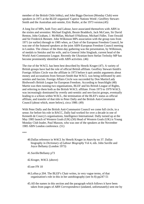member of the British Chile lobby), and John Biggs-Davison (Monday Club) were speakers in 1971 at the BLEF-organised 'Captive Nations Week'; Geoffrey Stewart-Smith and the Australian anti-semite, Eric Butler, at the 1973 version.(45)

A long list of MPs, both Tory and Labour, have associated themselves with ABN in the sixties and seventies: Michael English, Bessie Braddock, Jack McCann, Sir David Renton, John Graham, J. McMillan, Michael O'Halloran, Michael Fidler, Tom Oswald and Sir Frederick Bennett. John Wilkinson MPs association with the group runs from 1971 (or earlier) through to 1985 when, as Chair of the European Freedom Council, he was one of the featured speakers at the joint ABN-European Freedom Council meeting in London. The climax of the three-day gathering was the presentation, by Wilkinson, of medals to Stetzko and his wife, and to General John Singlaub, current head of the World Anti-Communist League. Recently the Ukranian-born Stefan Terlezky MP has become prominently identified with ABN activities. (46)

The rise of the WACL has been best described by Henrik Kruger (47). A variety of British groups have had the role of official British affiliate. Geoffrey Stewart-Smith's Foreign Affairs Circle was the affiliate in 1973 before it quit amidst arguments about money and accusations from Stewart-Smith that WACL was being infiltrated by antisemites and fascists. Foreign Affairs Circle was succeeded by Don Martin/Lady Birdwood's British League for European Freedom. According to Searchlight (48) Martin was then running two organisations, BLEF and his British League of Rights, and referring to them both as the British WACL affiliate. From 1973 to 1979 WACL was increasingly dominated by overtly anti-semitic and neo-fascist groups, eventually leading to a schism within WACL, the termination of the BLEF's status as official affiliate, and transfer of that title to Peter Dally and the British Anti-Communist Council (about which, more below), circa 1980. (49)

With Peter Dally and the British Anti-Communist Council we come full circle, in a sense; for before his role in BACC, Dally had worked for over a decade in one of Kenneth de Courcy's organisations, Intelligence International. Dally turned up at the May 1985 launch of Western Goals (UK) (50) Head of Western Goals (UK) is Young Monday Club leader, Paul Masson, who was one of the speakers at the November 1985 ABN London conference. (51)

\*\*\*

- 40.Dallas reference in *WACL* by Henrik Kruger in *Anarchy* no 37. Dallas biography in *Dictionary of Labour Biography* Vol 4, eds. John Saville and Joyce Bellamy (London 1973)
- 41.Saville/Bellamy p73
- 42.Kruger, *WACL* (above)
- 43.see FN 10
- 44.Loftus p 204. The BLEF's Chair writes, in very vague terms, of that organisation's role in this in her autobiography (see fn 8) pp247-51
- 45.All the names in this section and the paragraph which follows it have been taken from pages of *ABN Correspondence* (undated, unfortunately) sent me by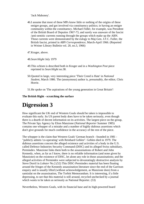'Jack Mahoney'.

46.I assume that most of these MPs know little or nothing of the origins of these emigre groups, and got involved via constituency politics; ie having an emigre community within the constituency. Michael Fidler, for example, was President of the British Board of Deputies 1967-73, and surely was unaware of the fascist /anti-semitic currents running through the groups which make up the ABN. Those currents were demonstrated by the eulogy to Maj-Gen. J.F.C. Fuller, the British fascist, printed in *ABN Correspondence*, March-April 1966. (Reported in Weiner Library Bulletin vol. 20, no.3, 1966)

47.Kruger, above.

- 48.*Searchlight* July 1979
- 49.This schism is described both in Kruger and in a *Washington Post* piece reprinted in *Searchlight* no.38.
- 50.Quoted in large, very interesting piece 'Their Creed is Hate' in *National Student*, March 1986. The (anonymous) author is, presumably, the editor, Chris Horrie.
- 51.He spoke on 'The aspirations of the young generation in Great Britain'!

### **The British Right - scratching the surface**

# **Digression 3**

How significant the UK end of Western Goals should be taken is impossible to evaluate this early. Its US parent body does have to be taken seriously, even though there is a dearth of decent information on its activities. The largest piece on the group, The Private Spy Agency by Elton Manzione (*National Reporter* Summer 1985) contains one whopper of a mistake and a number of highly dubious assertions which don't give grounds for much confidence in the accuracy of the rest of the piece.

The whopper is the claim that Western Goals' German branch - founded in 1981 - "publicly admits 'co-operating' with Reinhard Gehlen". Gehlen died in 1979. The dubious assertions concern the alleged existence and activities of a body in the U.S. called Defence Industries Security Command (DISC) and its alleged Swiss subsidiary, Permindex. Manzione links them both to the assassinations of Robert and John Kennedy, when, as far as I know, there is no reliable information (and none given by Manzione) on the existence of DISC, let alone any role in those assassinations; and the alleged activities of Permindex were subjected to devastatingly destructive analysis by Steve Dorril in *Lobster* No.2.(52) This DISC-Permindex material has been floating around the fringes of the Kennedy assassination literature since the end of the Garrison enquiry and is usually lifted (without acknowledgement, as Manzione does) from a samizdat on the assassination, The Torbitt Memorandum. It is interesting, if a little depressing, to see that this material is still around, recycled unchecked by a journal which wants to be taken as seriously as National Reporter. (53)

Nevertheless, Western Goals, with its financial base and its high-powered board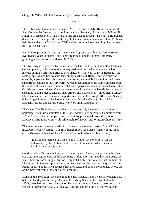(Singlaub, Teller, Admiral Moorer et al) has to be taken seriously.

\* \* \*

The British Anti-Communist Council (BACC), the current UK affiliate to the World Anti-Communist League, has as its President and Secretary, Patrick Wall MP and Jill Knight MP respectively. Wall's role in this organisation, even if he is just a figurehead, doesn't seem to have yet filtered through to the mainstream media in Britain. With his hairpiece and all, the 'Mad Major' Wall is often presented as something of a figure of fun - but he isn't that.

His '92 Group' seems to have remained a well-kept secret within the Tory Party for over twenty years until 1983, and is now reported to be the largest Tory Party grouping at Westminster, with over 80 MPs.

The 'New Right' discovered by the media in the late 1970s (essentially after Thatcher came to power), is little more than an expression of the media's complete lack of interest in the British Right prior to Mrs Thatcher. This 'New Right' is frequently the same people as, and believes the same things as the 'old' Right. The '92 group' for example, appears to be nothing more than the current vehicle for the South Africansupporting sections of the Tory Party. A recent deputation to the Prime Minister from the unofficial back-bench committee of Tories opposed to sanctions consisted of John Carlisle and three 'old hands' whose names recur throughout the late sixties and early seventies - John Biggs-Davison, Julian Amery and Patrick Wall - all of them Monday Club members in the sixties and supporters/members of the Anglo-Rhodesian Society. Other Anglo-Rhodesian Society members were Monday Clubbers Ronald Bell, Stephen Hastings and Harold Soref, who were on its Council. (54)

The basis of Wall's influence - such as it is - is probably his role as chair of the Southern Africa Sub-committee of the Conservative Foreign Affairs Committee from 1970-78. One of the recent pieces on the '92 Group' included, from 'the cast' of *Lobster* 11, Biggs-Davison, Wall, Jill Knight (of BACC) and Winston Churchill. (55)

The most detailed recent analysis of parliamentary economic links to South Africa is in *Labour Research* (August 1986), although if you look closely, many of the 'links' are pretty weak. Julian Critchley MP's 'link' to South Africa is about average:

"Lists as employment or office Public Affairs Adviser to SSIB-Lintas Ltd, owned by the US Interpublic Group of companies which has nine South African subsidiaries."

Good orthodox Marxists that they are, *Labour Research* really want there to be direct concrete 'interests' to explain the Tory Party's infatuation with South Africa. And, yes, while there are some, Biggs-Davison, Knight, Churchill and Wall are not on their list. The 'economic interest' approach misses, marginalises, the fact that many on the Tory Right support South Africa because they are racists and/or anti-communists whose talk of the 'Soviet threat to the Cape' et al is genuine.

Some on the Tory Right are something like neo-fascists. I don't want to overstate this, but from the days of the Anglo-German Friendship Society, the Link et al in the 1930s, there has remained a section of the party just not particularly interested in the concept of democracy. (56). Patrick Wall and Jill Knight's links to the World Anti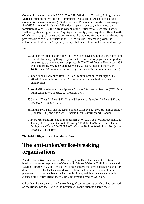Communist League through BACC, Tory MPs Wilkinson, Terlezky, Billingham and Merchant supporting World Anti-Communist League and/or Asian Peoples' Anti-Communist League activities (57), the Bells and Proctors in domestic racist groups like WISE - none of this is new. What does appear to be new, at least since the formation of WACL, is the current 'weight' of the British WACL affiliate. Patrick Wall, a significant figure on the Tory Right for twenty years, is quite a different kettle of fish from marginal racists and anti-semites like Don Martin and Lady Birdwood, his predecessors as WACL affiliates in the UK. With Mrs Thatcher in power, the authoritarian Right in the Tory Party has got that much closer to the centre of gravity.

\*\*\*

- 52.No, don't write to us for copies of it. We don't have any left and are not willing to start photocopying things. If you want it - and it is very good and important get the slightly amended version printed in *The Third Decade* November 1985, available from Jerry Rose State University College, Fredonia, New York 14063. Send \$3 minimum for one copy. Subs are \$15 per annum (six copies).
- 53.Used to be *Counterspy*, Box 647, Ben Franklin Station, Washington DC 20044. Annual sub. for UK is \$25. For other countries, best to write and enquire first.
- 54.Anglo-Rhodesian membership from Counter Information Services (CIS) 'Sellout in Zimbabwe', no date, but probably 1978.
- 55.*Sunday Times* 22 June 1986. On the '92' see also *Guardian* 23 June 1986 and *Observer* 10 August 1986.
- 56.On the Tory Party and the fascists in the 1930s see eg, *Tory MP* Simon Haxey (London 1939) and *Your MP*, 'Graccus' (Tom Wintringham) (London 1945)
- 57.Piers Merchant MP, one of the speakers at WACL 1986 'World Freedom Day', January 1986. (*Asian Outlook*, February 1986). Stefan Terlezki and Henry Billingham MPs, at WACL/APACL 'Captive Nations Week' July 1984 (*Asian Outlook*, August 1984)

**The British Right - scratching the surface** 

### **The anti-union/strike-breaking organisations**

Another distinctive strand on the British Right are the antecedents of the strikebreaking/anti-union aspirations of General Sir Walter Walker's Civil Assistance and David Stirling's GB 75 in 1974 and '75. These antecedents stretch back through every decade at least as far back as World War 1, show the kind of continuity of belief, personnel and action visible elsewhere on the Right; and, here as elsewhere in the *history* of the British Right, there is little information readily available.

Other than the Tory Party itself, the only significant organisation which has survived on the Right since the 1920s is the Economic League, running a large-scale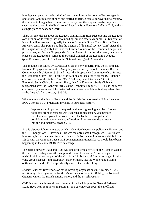intelligence operation against the Left and the unions under cover of its propaganda operations. Continuously funded and staffed by British capital for over half a century, the Economic League has to be taken seriously. Yet there appears to be only one substantial essay on it, the 'Background Paper' in *State Research Bulletin No.7*, and not a single piece of academic work.

There is some debate about the League's origins. *State Research*, quoting the League's own version of its history, has it founded by, among others, Admiral Hall (ex chief of Naval Intelligence), and originally known as Economic Study Clubs. But the *State Research* essay also points out that the League's fifth annual review (1925) states that the League was originally known as the Central Council of the Economic League, and prior to that, as National Propaganda. *Labour Research*, on the other hand, in an early piece on the League (58) refers to the Central Council of the Economic Leagues (plural), known, prior to 1920, as the National Propaganda *Committee*.

This muddle is resolved by Barbara Lee Farr in her wonderful PhD thesis. (59) The National Propaganda Committee (singular) was set up by Patrick Hannon's British Commonwealth Union in 1919; and it was this Propaganda Committee which formed the Economic Study Club - a centre for training anti-socialist speakers. (60) Hannon confirms some of this in his *Who's Who* 1924 entry which includes "Director, Economic Study Club". Farr states, flatly, that "the Economic Study Club was reorganised after the (General) Strike as the Economic League".(61) This is indirectly confirmed by accounts of John Baker White's career in which he is always described as the League's first director, 1926-39.

What matters is the link to Hannon and the British Commonwealth Union (henceforth BCU). For the BCU, practically invisible in our social history,

"represents an important, unique direction of right-wing activism. Money not moral pronouncements was its means of persuasion....its methods reveal an underground network of secret subsidies to 'sympathetic' politicians and labour leaders, infiltration of government departments, intrigue and industrial spying". (62)

At this distance it hardly matters which trade union leaders and politicians Hannon and the BCU bought-off: J. Havelock Ellis was the only name I recognised. (63) What is interesting is that the covert funding of anti-socialist trade union leaders visible in the 1950s with the Common Cause-IRIS connection mentioned above, should have been happening in the early 1920s. Plus ca change.

The period between 1918 and 1926 was one of intense activity on the Right as well as the Left: this, perhaps, was the last period when 'class warfare' was not a piece of wishful thinking on the part of the Marxist left in Britain. (64) A large range of rightwing groups appear - and disappear - many of them, like the Walker and Stirling outfits of the middle 1970s, specifically aimed at strike-breaking.

*Labour Research* first reports on strike-breaking organisations in November 1925, mentioning The Organisation for the Maintenance of Supplies (OMS), the National Citizens' Union, the British Empire Union, and the British Fascists.

OMS is a reasonably well-known feature of the backdrop to the General Strike of 1926. Steve Peak (65) notes, in passing, "on September 25 1925, the unofficial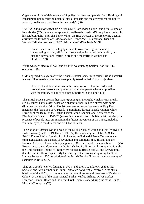Organisation for the Maintenance of Supplies has been set up under Lord Hardinge of Penshurst to begin enlisting potential strike-breakers and the government did not try seriously to distance itself from the new body". (66)

*The 1925 Labour Research* article lists OMS' Lord-laden Council and details some of its activities (67) But even the apparently well-established OMS story has wrinkles. In his autobiography (68) John Baker White, the first Director of the Economic League, attributes the formation of OMS to one Sir George McGill, a personal friend of Vernon Kell, the first head of MI5. Prior to the OMS episode McGill

"created and directed a highly efficient private intelligence service, investigating not only all forms of subversion, including communism, but also the international traffic in drugs and the traffic in women and children". (69)

White was recruited by McGill and by 1924 was running Section D of McGill's operation. (70)

OMS appeared two years after the *British Fascists* (sometimes called British Fascisti), whose strike-breaking intentions were plainly stated in their formal objectives:

"to assist by all lawful means in the preservation of law and order and protection of persons and property, and to co-operate whenever possible with the military or police or other authorities in so doing". (71)

The British Fascists are another major grouping on the Right which awaits a really serious study. Farr's essay, based on a chapter of her PhD, is a sketch with some (illuminating) details: British Fascist members acting as 'stewards' at Tory Party meetings; the formation of 'Q squads', paramilitary forces; Patrick Hannon, while Director of the BCU, on the British Fascist Grand Council, and President of the Birmingham Branch in 1925/26 (something he omits from his *Who's Who* entries); the presence of people later prominent in the fascist movement of the 1930s, including William Joyce, Arnold Leese and Sir Charles Petrie.

The *National Citizens' Union* began as the Middle Classes Union and was involved in strike-breaking in 1919, 1920 and 1921. (72) Its members joined OMS.(73) The *British Empire Union*, founded in 1915, set up an 'Industrial Peace Department' to campaign against 'the dangers of revolution and communism' (74), and, like the National Citizens' Union, publicly supported OMS and enrolled its members in it. (75) Brown gives some information on the British Empire Union while comparing it with the Anti-Socialist Union.(76) Both were funded by British capital, and Brown notes that the Empire Union "apparently had much greater resources", quoting the Soviet Union's Izvestia's 1936 description of the British Empire Union as the main enemy of socialism in Britain. (77)

The *Anti-Socialist Union*, founded in 1908 (and, after 1925, known as the Anti-Socialist and Anti-Communist Union), although not directly involved in the strikebreaking of the 1920s, had on its executive committee several members of Baldwin's Cabinet at the time of the 1926 General Strike: Wilfred Ashley, Oliver Locker-Lampson, Samuel Hoare and the Chief Civil Commissioner during the strike, Sir W. Mitchell-Thompson.(78)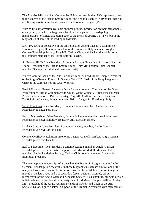The Anti-Socialist and Anti-Communist Union declined in the 1930s, apparently due to the success of the British Empire Union, and finally dissolved in 1949, its financial and literary assets being handed over to the Economic League. (79)

With so little information available on these groups, information on their personnel is equally thin, but with the fragments that do exist, a pattern of overlapping memberships - of a network, going back to the thesis of *Lobster* 11 - is visible in the biographies of some of the leading individuals.

Sir Harry Brittain: Executive of the Anti-Socialist Union; Executive Committee, Economic League; Honorary President of the Friends of Italy; member, Anglo-German Friendship Society; Tory MP; Carlton Club; and, back to the origins of all this, founder member of the Tariff Reform League.

Sir Edward Illiffe: Vice President, Economic League; Executive of the Anti-Socialist Union; Treasurer of the British Empire Union; Tory MP; Carlton Club; Council member, Society for Individual Freedom (1944).

Wilfred Ashley: Chair of the Anti-Socialist Union; as Lord Mount Temple, President of the Anglo-German Friendship Society; Tory MP; Chair of the Navy League and Chair of the Comrades of the Great War. (80)

Patrick Hannon: General Secretary, Navy League; founder, Comrades of the Great War; founder, British Commonwealth Union; Grand Council, British Fascists; Vice President Federation of British Industry; Tory MP; Carlton Club; Vice President, Tariff Reform League; founder member, British League for Freedom (1943).

W. R. Runciman: Vice President, Economic League; member, Anglo-German Friendship Society; Tory MP.

Earl of Malmesbury: Vice President, Economic League; member, Anglo-German Friendship Society; Honorary Treasurer, Anti-Socialist Union.

Lord McGowan: Vice President, Economic League; member, Anglo-German Friendship Society; Carlton Club.

Colonel Geoffrey Hutchinson: Economic League Council; member, Anglo-German Friendship Society; Tory MP.

Earl of Selbourne: Vice President, Economic League; member, Anglo-German Friendship Society; in the sixties, supporter of Edward Martell; Monday Club member; Anglo-Rhodesian Society; Carlton Club; founder member, Society for Individual Freedom.

The overlapping memberships of groups like the Economic League and the Anglo-German Friendship Society visible in those biographical sketches hints at one of the really under-explored areas of this period: how far the anti-labour, anti-union groups moved in the late 1920s and '30s towards a fascist position. Granted, per se, membership of the Anglo-German Friendship Society tells us nothing, but with certain individuals such a political drift is pretty clear. Lord Mount Temple (Wilfred Ashley MP), President of the Anglo-German Friendship Society and Chair of the Anti-Socialist Union, signed a letter in support of the Munich Agreement with members of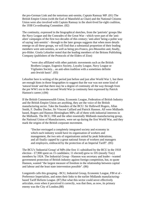the pro-German Link and the notorious anti-semite, Captain Ramsay MP. (81) The British Empire Union (with the Earl of Mansfield as Chair) and the National Citizens Union were also involved with Captain Ramsay in the short-lived far-right coalition, the 1938 Co-ordinating Committee. (82)

The continuity, expressed in the biographical sketches, from the 'patriotic' groups like the Navy League and the Comrades of the Great War - which were part of the 'antialien' campaigns of the first two decades of this century; 'anti-alien' being a polite way of saying 'anti-semitic' - through to the later groups suggests that when more details emerge on all these groups, we will find that a substantial proportion of their leading members were anti-semites, as well as being pro-Franco, pro-Mussolini and, finally, pro-Hitler. Gisela Lebzelter noted that the leading members of the Britons Publishing Company (publishers of the Protocols of the Elders of Zion)

"were also affiliated with other patriotic movements such as the British Brothers League, Eugenics Society, Loyalty League, Navy League or Vigilantes Society... an anti-alien tradition with a sometimes definite anti-Jewish basis". (83)

Lebzelter here is writing of the period just before and just after World War 1, but there are enough hints in those biographies to suggest that the war was not some kind of 'natural break' and that there may be a degree of continuity all the way through from the pre WW1 era to the second World War (a continuity best expressed by Patrick Hannon's career.) (84)

If the British Commonwealth Union, Economic League, Federation of British Industry and the British Empire Union are anything, they are the voice of the British manufacturing sector. Take the founders of the BCU: Sir Hallewell Rogers, Allan Smith, F. Dudley Docker, Sir Vincent Caillard and Patrick Hannon. All were Midlands based, Rogers and Hannon Birmingham MPs; all of them with industrial interests in the Midlands. The BCU, FBI and the other essentially Midlands manufacturing group, the National Union of Manufacturers, were set up during the first World War, and they mark the origins of the British corporate movement.

"Docker envisaged a completely integrated society and economy in which each industry would have its organisation of workers and management, the two sets of organisations united by peak federations, and all finally capped by a great national forum of workers and managers and employers, embraced by the protection of an Imperial Tariff". (85)

The BCU's 'Industrial Group' of MPs (the first 11 subsidised by the BCU in the 1918 election - £7,900 spent on 15 candidates; 11 elected) grew to 105 (mostly Tory) members by 1924. The Industrial Group - Hannon was secretary and leader - wanted government protection of British industry against foreign competition, but, to quote Hannon, wanted "the largest measure of freedom in the relationship between capital and labour and the least state intervention possible". (86)

Longstreth calls this grouping - BCU, Industrial Group, Economic League, FBI et al - Preference Imperialists, and notes their links to the earlier Midlands manufacturingbased Tariff Reform League. (87) But what this sector could never effectively articulate, even when it perceived it correctly, was that then, as now, its primary enemy was the City of London.(88)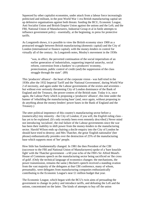Squeezed by other capitalist economies, under attack from a labour force increasingly politicised and militant, in the post World War 1 era British manufacturing capital set up defensive organisations against both threats: funding the BCU, Economic League, Anti Socialist Union and British Empire Union against the unions and the Left; and the FBI, National Union of Manufacturers, Industrial Group et al in futile attempts to influence government policy - essentially, at the beginning, to press for protective tariffs.

As Longstreth shows, it is possible to view the British economy since 1900 as a protracted struggle between British manufacturing (domestic capital) and the City of London (international or finance capital), with the money-lenders in control for virtually all of the century. As Longstreth notes, Mosley's movement in the 1930s

"was, in effect, the perverted continuation of the social imperialism of an earlier generation of industrialists, supporting imperial autarchy, social reform, conversion from a bankers' to a producers' economy, protectionism, public control of credit (and) the suppression of the class struggle through the state". (89)

This 'producers' alliance' - the heart of the corporate vision - was half-tried in the 1930s after the 1932 Imperial Tariff and the 'National Government', during World War 2 of necessity, and again under the Labour governments of the sixties and seventies but without ever seriously threatening City of London dominance of the Bank of England and the Treasury, the power-centres of the British state. Today it is, once again, the Labour Party which is proposing a 'producers' alliance', this time under the banner of 'rebuilding the manufacturing base' (and, once again, without proposing to do anything about the money-lenders' power bases in the Bank of England and the Treasury.)

The utter political impotence of this country's manufacturing sector before a (numerically) tiny minority - the City of London; if you will, the *English* ruling class has yet to be explained. (It's only recently been even remotely *described*.) Never mind not introducing 'socialism', the real failure of the Labour governments since the war has been their inability to shift power from the money-lenders to the manufacturing sector. Harold Wilson ends up chairing a docile enquiry into the City of London he should have tried to destroy; and Mrs Thatcher, the great 'English nationalist' (her phrase) enthusiastically presides over the destruction of 25% of the manufacturing base which supports most of 'her' people.

How little has fundamentally changed. In 1981 the then President of the CBI (successor to the FBI and National Union of Manufacturers) spoke of a 'bare knuckle fight' with the Thatcher government - a 60 year echo of the FBI's Sir Alfred Mond's House of Commons speech on the manufacturing sector being sacrificed on 'the cross of gold'. (Only the technical language of economics changes: the mechanisms, the power transmission, remains the same.) Beckett's speech received a standing ovation from the vast majority of the delegates at that CBI conference, many of whom, presumably, were delegates from manufacturing companies enthusiastically contributing to the Economic League's near £1 million budget that year.

The Economic League, which began with the BCU's twin aims of persuading the government to change its policy and introduce tariffs, and defeating the Left and the unions, concentrated on the latter. The kinds of attempts to buy off the union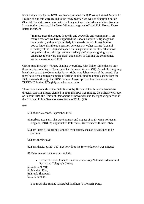leaderships made by the BCU may have continued. In 1937 some internal Economic League documents were leaked to the *Daily Worker*. As well as describing police (Special Branch) co-operation with the League, they included some letters from the League's then director, John Baker White to a regional official, R.R. Hoare. These letters included:

"In most areas the League is openly and avowedly anti-communist ... on many occasions we have supported the Labour Party in its fight against communism, and most particularly in the trade unions. It may interest you to know that the co-operation between Sir Walter Citrine (General Secretary of the TUC) and myself on this question is far closer than most people imagine ... through an intermediary the League is giving active assistance to one very important trade union in fighting the communists within its own ranks". (90)

Citrine sued the *Daily Worker*, denying everything. John Baker White denied only those sections relating to Citrine, and Citrine won his case. (91) The whole thing may have been part of the Communist Party - right-wing labour wars of the period. Yet there have been enough examples of British capital funding union leaders from the BCU onwards, through the IRIS/Common Cause episode described above and TRUEMID in the 1970s (92) to make me wonder.

These days the mantle of the BCU is worn by British United Industrialists whose director, Captain Briggs, claimed in 1985 that BUI was funding the Solidarity Group of Labour MPs, the Union of Democratic Mineworkers and the right-wing faction in the Civil and Public Servants Association (CPSA). (93)

\*\*\*

#### 58.*Labour Research*, September 1926

- 59.Barbara Lee Farr, The Development and Impact of Right-wing Politics in England, 1918-39, unpublished PhD thesis, University of Illinois 1976.
- 60.Farr thesis p158: using Hannon's own papers, she can be assumed to be accurate.

61.Farr, thesis, p234

62.Farr, thesis, pp153, 150. But how does she (or we) know it was unique?

63.Other names she mentions include:

• Herbert J. Read, funded to start a break-away National Federation of Postal and Telegraph Clerks;

59.A.R. Jephcott;

60.Marshall Pike; 61.Frank Sheppard;

62.J. S. Seddon.

The BCU also funded Christabel Pankhurst's Women's Party.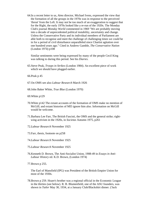64.In a recent letter to us, *Aims* director, Michael Ivens, expressed the view that the formation of all the groups in the 1970s was in response to the perceived 'threat' from the Left. It may not be too much of an exaggeration to suggest that for the Right, the early 1970s looked like a re-run of the 1920s. The Monday Club's journal *Monday World* commented in 1969 "We are probably moving into a decade of unprecedented political instability, uncertainty and change. Unless the Conservative Party and its individual members of Parliament are able both to recognise and meet the challenge of challenging times we could be in for a period of civil disturbance unparalleled since Chartist agitation over one hundred years ago." Cited in Andrew Gamble, *The Conservative Nation* (London 1974) p108

Similar sentiments were being expressed by many of the people Cecil King was talking to during this period. See his *Diaries*.

65.Steve Peak, *Troops in Strikes* (London 1984). An excellent piece of work which we should have plugged earlier.

66.Peak p 45

- 67.On OMS see also *Labour Research* March 1926
- 68.John Baker White, *True Blue* (London 1970)

69.White p129

- 70.White p142 The extant accounts of the formation of OMS make no mention of McGill; and extant histories of MI5 ignore him also. Information on McGill would be welcome.
- 71.Barbara Lee Farr, The British Fascisti, the OMS and the general strike; rightwing activism in the 1920s, in *Societas* Autumn 1975, p261
- 72.*Labour Research* November 1925
- 73.Farr, thesis, footnote on p258
- 74.*Labour Research* November 1925
- 75.*Labour Research* November 1925
- 76.Kenneth D. Brown, The Anti-Socialist Union, 1908-49 in *Essays in Anti-Labour History* ed. K.D. Brown, (London 1974)
- 77.Brown p 255.

The Earl of Mansfield (IPG) was President of the British Empire Union for most of the 1930s.

78.Brown p 259. Hoare's brother was a regional official in the Economic League in the thirties (see below). R. B. Blumenfield, one of the ASU founders, was shown in *Tatler* May 30, 1934, at a January Club/Blackshirt dinner. ('Jack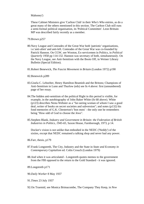#### Mahoney')

These Cabinet Ministers give 'Carlton Club' in their *Who's Who* entries, as do a great many of the others mentioned in this section. The Carlton Club still runs a semi-formal political organisation, its 'Political Committee'. Leon Brittain MP was described fairly recently as a member.

### 79.Brown p257

- 80.Navy League and Comrades of the Great War both 'patriotic' organisations, i.e.'anti-alien' and anti-left. Comrades of the Great War was co-founded by Patrick Hannon. On CGW, see Wooton, Ex-servicemen in Politics, in *Political Quarterly* 1958 pp 114-132. Hannon was secretary of both, simultaneously. On the Navy League, see Anti-Semitism with the Boots Off, in Weiner Library Bulletin (Special Edition).
- 81.Robert Benewick, *The Fascist Movement in Britain* (London 1972) p190
- 82.Benewick p289
- 83.Gisela C. Lebzelter, Henry Hamilton Beamish and the Britons; Champions of Anti-Semitism in Lunn and Thurlow (eds) see fn 4 above: first (unnumbered) page of her essay.
- 84.The hidden anti-semitism of the political Right in this period is visible, for example, in the autobiography of John Baker White (fn 68 above). White (p123) describes Nesta Webster as a "far-seeing woman of whom I saw a good deal..writer of books on secret societies and subversion"; and notes (p132) his fond memories of G.K. Chesterton's 'bon mots' - the only one he remembers being "How odd of God to choose the Jews".
- 85.Stephen Blank, *Industry and Government in Britain: the Federation of British Industries in Politics, 1945-65*, Saxon House, Farnborough, 1973, p 14.

Docker's vision is not unlike that embodied in the NEDC ('Neddy') of the sixties, except that NEDC remained a talking shop and never had any power.

86.Farr, thesis, p179

- 87.Frank Longstreth, The City, Industry and the State in *State and Economy in Contemporary Capitalism* ed. Colin Crouch (London 1979)
- 88.And when it was articulated Longstreth quotes memos to the government from the FBI opposed to the return to the Gold Standard - it was ignored.
- 89.Longstreth p171
- 90.*Daily Worker* 8 May 1937
- 91.*Times* 23 July 1937
- 92.On Truemid, see Monica Brimacombe, The Company They Keep, in *New*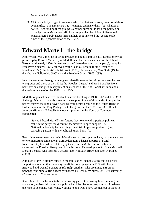*Statesman* 9 May 1986

93.Claims made by Briggs to someone who, for obvious reasons, does not wish to be identified. The *claims* are true - ie Briggs did make them - but whether or not BUI *are* funding these groups is another question. It has been pointed out to me by Kevin McNamara MP, for example, that the Union of Democratic Mineworkers hardly needs financial help as it inherited the (considerable) funds of the 'Spencer' union of the 1920s.

## **Edward Martell - the bridge**

After World War 2 the role of strike-breaker and public anti-socialist campaigner was picked up by Edward Martell. (94) Martell, who had been a member of the Liberal Party until the early 1950s (a member of the 'libertarian' rump of the party), set up his Free Press Society (1955), followed by the Peoples' League for the Defence of Freedom (1956), the Anti-Socialist Front (1958), his newspaper, *New Daily* (1960), the National Fellowship (1962) and the Freedom Group (1963). (95)

Even the names of these groups suggest Martell's role as the bridge between the prewar groups and those of the 1970s: the 'Peoples' League' and 'Anti-Socialist Front' have obvious, and presumably intentional echoes of the Anti-Socialist Union and all the various 'leagues' of the 1920s and 1930s.

Martell's organisations were involved in strike-breaking in 1958, 1962 and 1963.(96) Although Martell apparently attracted the support of tens of thousands of people, he never received the kind of overt backing from senior people on the British Right, in British capital or the Tory Party given to the groups in the 1920s and '30s. Donald Johnson MP, one of Martell's few open supporters in the House of Commons commented:

"It was Edward Martell's misfortune that no one with a positive political stake in the party would commit themselves to open support. The National Fellowship had a distinguished list of open supporters ... (but) scarcely a person with any political know-how." (97)

Few of the names associated with Martell seem to crop up elsewhere, but there are one or two interesting connections: Lord Addington, a keen supporter of Moral Rearmament (about whom a lot may get said, one day); the Earl of Selbourne sponsored the Freedom Group; and in the National Fellowship was Air Vice Marshall Donald Bennett, who turns up a decade later with Lady Birdwood, Don Martin et al.(98)

Although Martell's empire folded in the mid-sixties (demonstrating that his actual support was smaller than he always said), he pops up again in 1977 with Lady Birdwood and Donald Bennett in Self Help, another strike-breaking, anti-union, newspaper printing outfit, allegedly financed by Ross McWhirter.(99) He is currently a 'consultant' to Charles Forte.

It was Martell's misfortune to be in the wrong place at the wrong time, pursuing his anti-union, anti-socialist aims at a point when it had become deeply unfashionable on the right to be openly right-wing. Nothing he did would have seemed out of place in